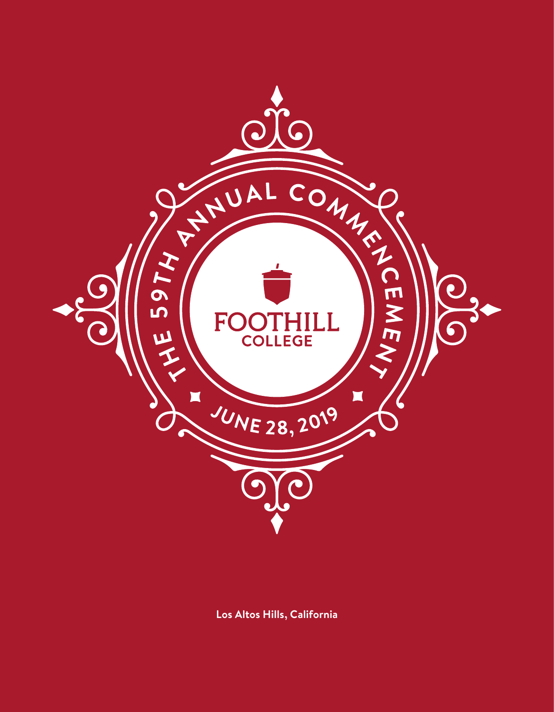

**Los Altos Hills, California**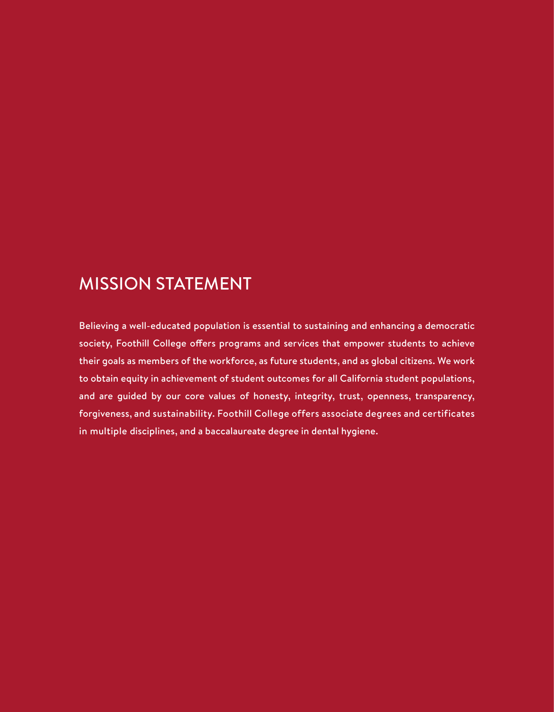### MISSION STATEMENT

Believing a well-educated population is essential to sustaining and enhancing a democratic society, Foothill College offers programs and services that empower students to achieve their goals as members of the workforce, as future students, and as global citizens. We work to obtain equity in achievement of student outcomes for all California student populations, and are guided by our core values of honesty, integrity, trust, openness, transparency, forgiveness, and sustainability. Foothill College offers associate degrees and certificates in multiple disciplines, and a baccalaureate degree in dental hygiene.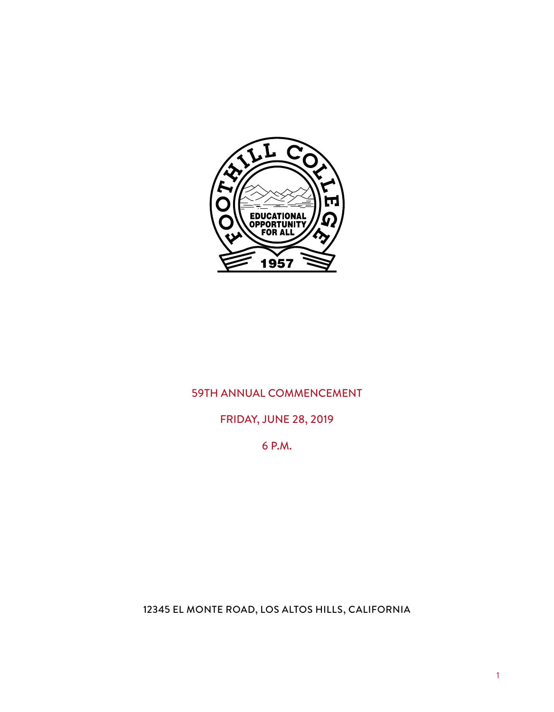

### 59TH ANNUAL COMMENCEMENT

### FRIDAY, JUNE 28, 2019

6 P.M.

12345 EL MONTE ROAD, LOS ALTOS HILLS, CALIFORNIA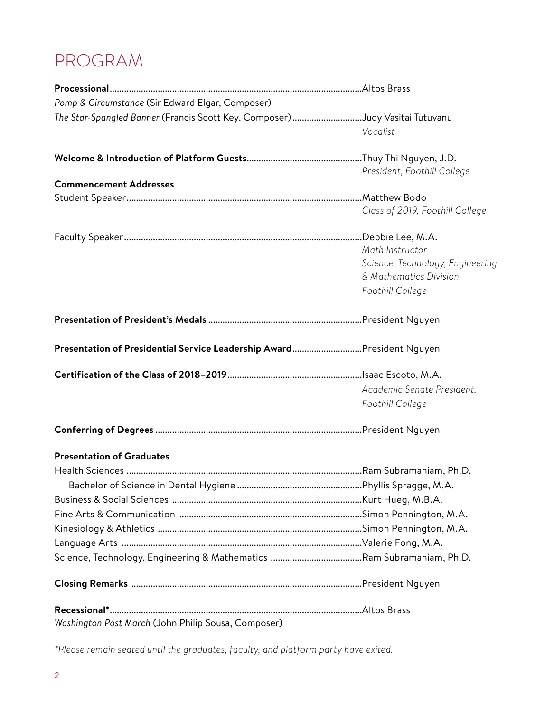## PROGRAM

| Pomp & Circumstance (Sir Edward Elgar, Composer)                             |                                  |
|------------------------------------------------------------------------------|----------------------------------|
| The Star-Spangled Banner (Francis Scott Key, Composer) Judy Vasitai Tutuvanu |                                  |
|                                                                              | Vocalist                         |
|                                                                              |                                  |
|                                                                              | President, Foothill College      |
| <b>Commencement Addresses</b>                                                |                                  |
|                                                                              |                                  |
|                                                                              | Class of 2019, Foothill College  |
|                                                                              |                                  |
|                                                                              | Math Instructor                  |
|                                                                              | Science, Technology, Engineering |
|                                                                              | & Mathematics Division           |
|                                                                              | Foothill College                 |
|                                                                              |                                  |
| Presentation of Presidential Service Leadership AwardPresident Nguyen        |                                  |
|                                                                              |                                  |
|                                                                              | Academic Senate President,       |
|                                                                              | Foothill College                 |
|                                                                              |                                  |
| <b>Presentation of Graduates</b>                                             |                                  |
|                                                                              |                                  |
|                                                                              |                                  |
|                                                                              |                                  |
|                                                                              |                                  |
|                                                                              |                                  |
|                                                                              |                                  |
|                                                                              |                                  |
|                                                                              |                                  |
|                                                                              |                                  |
| Washington Post March (John Philip Sousa, Composer)                          |                                  |

\*Please remain seated until the graduates, faculty, and platform party have exited.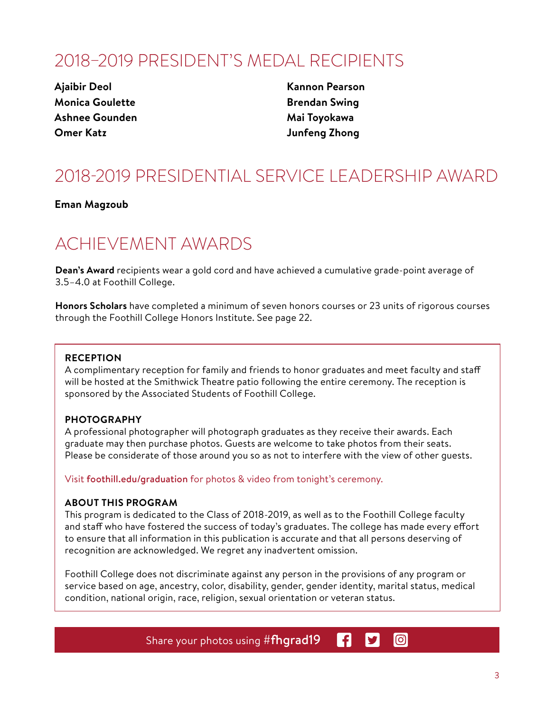### 2018–2019 PRESIDENT'S MEDAL RECIPIENTS

**Ajaibir Deol Monica Goulette Ashnee Gounden Omer Katz**

**Kannon Pearson Brendan Swing Mai Toyokawa Junfeng Zhong**

## 2018-2019 PRESIDENTIAL SERVICE LEADERSHIP AWARD

**Eman Magzoub**

### ACHIEVEMENT AWARDS

**Dean's Award** recipients wear a gold cord and have achieved a cumulative grade-point average of 3.5–4.0 at Foothill College.

**Honors Scholars** have completed a minimum of seven honors courses or 23 units of rigorous courses through the Foothill College Honors Institute. See page 22.

#### **RECEPTION**

A complimentary reception for family and friends to honor graduates and meet faculty and staff will be hosted at the Smithwick Theatre patio following the entire ceremony. The reception is sponsored by the Associated Students of Foothill College.

#### **PHOTOGRAPHY**

A professional photographer will photograph graduates as they receive their awards. Each graduate may then purchase photos. Guests are welcome to take photos from their seats. Please be considerate of those around you so as not to interfere with the view of other guests.

Visit foothill.edu/graduation for photos & video from tonight's ceremony.

#### **ABOUT THIS PROGRAM**

This program is dedicated to the Class of 2018-2019, as well as to the Foothill College faculty and staff who have fostered the success of today's graduates. The college has made every effort to ensure that all information in this publication is accurate and that all persons deserving of recognition are acknowledged. We regret any inadvertent omission.

Foothill College does not discriminate against any person in the provisions of any program or service based on age, ancestry, color, disability, gender, gender identity, marital status, medical condition, national origin, race, religion, sexual orientation or veteran status.

> Share your photos using #fhgrad19 R. **y**

**lol**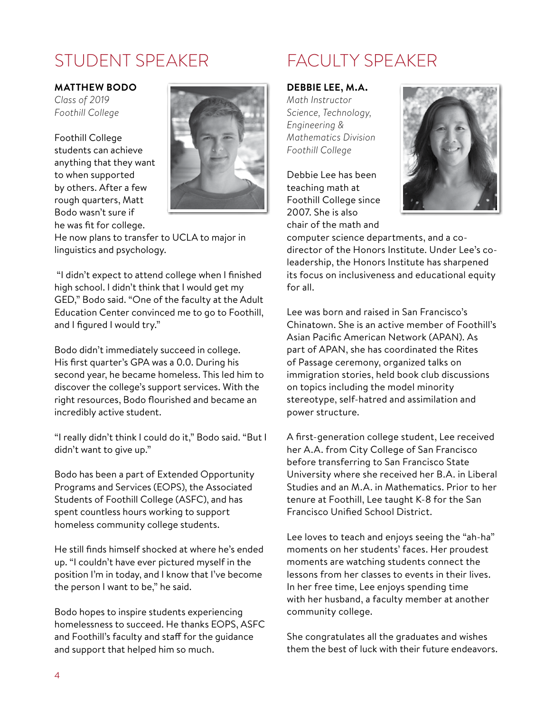### STUDENT SPEAKER FACULTY SPEAKER

#### **MATTHEW BODO**

*Class of 2019 Foothill College*

Foothill College students can achieve anything that they want to when supported by others. After a few rough quarters, Matt Bodo wasn't sure if he was fit for college.



He now plans to transfer to UCLA to major in linguistics and psychology.

 "I didn't expect to attend college when I finished high school. I didn't think that I would get my GED," Bodo said. "One of the faculty at the Adult Education Center convinced me to go to Foothill, and I figured I would try."

Bodo didn't immediately succeed in college. His first quarter's GPA was a 0.0. During his second year, he became homeless. This led him to discover the college's support services. With the right resources, Bodo flourished and became an incredibly active student.

"I really didn't think I could do it," Bodo said. "But I didn't want to give up."

Bodo has been a part of Extended Opportunity Programs and Services (EOPS), the Associated Students of Foothill College (ASFC), and has spent countless hours working to support homeless community college students.

He still finds himself shocked at where he's ended up. "I couldn't have ever pictured myself in the position I'm in today, and I know that I've become the person I want to be," he said.

Bodo hopes to inspire students experiencing homelessness to succeed. He thanks EOPS, ASFC and Foothill's faculty and staff for the guidance and support that helped him so much.

#### **DEBBIE LEE, M.A.**

*Math Instructor Science, Technology, Engineering & Mathematics Division Foothill College* 

Debbie Lee has been teaching math at Foothill College since 2007. She is also chair of the math and



computer science departments, and a codirector of the Honors Institute. Under Lee's coleadership, the Honors Institute has sharpened its focus on inclusiveness and educational equity for all.

Lee was born and raised in San Francisco's Chinatown. She is an active member of Foothill's Asian Pacific American Network (APAN). As part of APAN, she has coordinated the Rites of Passage ceremony, organized talks on immigration stories, held book club discussions on topics including the model minority stereotype, self-hatred and assimilation and power structure.

A first-generation college student, Lee received her A.A. from City College of San Francisco before transferring to San Francisco State University where she received her B.A. in Liberal Studies and an M.A. in Mathematics. Prior to her tenure at Foothill, Lee taught K-8 for the San Francisco Unified School District.

Lee loves to teach and enjoys seeing the "ah-ha" moments on her students' faces. Her proudest moments are watching students connect the lessons from her classes to events in their lives. In her free time, Lee enjoys spending time with her husband, a faculty member at another community college.

She congratulates all the graduates and wishes them the best of luck with their future endeavors.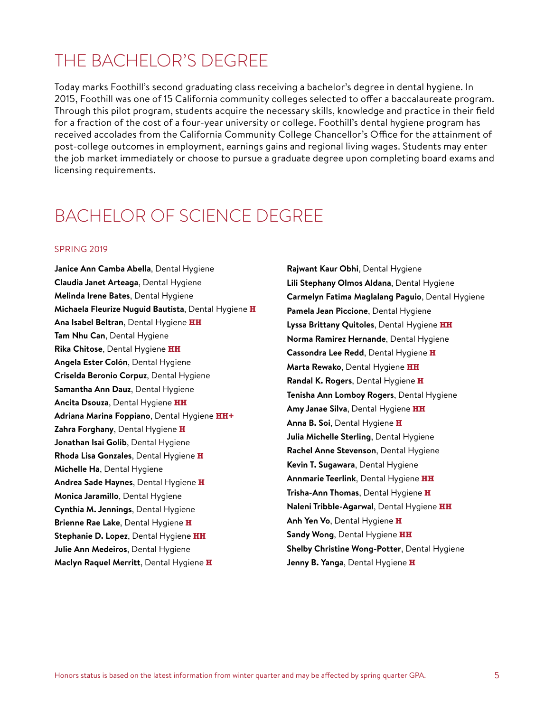### THE BACHELOR'S DEGREE

Today marks Foothill's second graduating class receiving a bachelor's degree in dental hygiene. In 2015, Foothill was one of 15 California community colleges selected to offer a baccalaureate program. Through this pilot program, students acquire the necessary skills, knowledge and practice in their field for a fraction of the cost of a four-year university or college. Foothill's dental hygiene program has received accolades from the California Community College Chancellor's Office for the attainment of post-college outcomes in employment, earnings gains and regional living wages. Students may enter the job market immediately or choose to pursue a graduate degree upon completing board exams and licensing requirements.

### BACHELOR OF SCIENCE DEGREE

#### SPRING 2019

**Janice Ann Camba Abella**, Dental Hygiene **Claudia Janet Arteaga**, Dental Hygiene **Melinda Irene Bates**, Dental Hygiene **Michaela Fleurize Nuguid Bautista**, Dental Hygiene **H Ana Isabel Beltran**, Dental Hygiene **HH Tam Nhu Can**, Dental Hygiene **Rika Chitose**, Dental Hygiene **HH Angela Ester Colón**, Dental Hygiene **Criselda Beronio Corpuz**, Dental Hygiene **Samantha Ann Dauz**, Dental Hygiene **Ancita Dsouza**, Dental Hygiene **HH Adriana Marina Foppiano**, Dental Hygiene **HH+ Zahra Forghany**, Dental Hygiene **H Jonathan Isai Golib**, Dental Hygiene **Rhoda Lisa Gonzales**, Dental Hygiene **H Michelle Ha**, Dental Hygiene **Andrea Sade Haynes**, Dental Hygiene **H Monica Jaramillo**, Dental Hygiene **Cynthia M. Jennings**, Dental Hygiene **Brienne Rae Lake**, Dental Hygiene **H Stephanie D. Lopez**, Dental Hygiene **HH Julie Ann Medeiros**, Dental Hygiene **Maclyn Raquel Merritt**, Dental Hygiene **H**

**Rajwant Kaur Obhi**, Dental Hygiene **Lili Stephany Olmos Aldana**, Dental Hygiene **Carmelyn Fatima Maglalang Paguio**, Dental Hygiene **Pamela Jean Piccione**, Dental Hygiene **Lyssa Brittany Quitoles**, Dental Hygiene **HH Norma Ramirez Hernande**, Dental Hygiene **Cassondra Lee Redd**, Dental Hygiene **H Marta Rewako**, Dental Hygiene **HH Randal K. Rogers**, Dental Hygiene **H Tenisha Ann Lomboy Rogers**, Dental Hygiene **Amy Janae Silva**, Dental Hygiene **HH Anna B. Soi**, Dental Hygiene **H Julia Michelle Sterling**, Dental Hygiene **Rachel Anne Stevenson**, Dental Hygiene **Kevin T. Sugawara**, Dental Hygiene **Annmarie Teerlink**, Dental Hygiene **HH Trisha-Ann Thomas**, Dental Hygiene **H Naleni Tribble-Agarwal**, Dental Hygiene **HH Anh Yen Vo**, Dental Hygiene **H Sandy Wong**, Dental Hygiene **HH Shelby Christine Wong-Potter**, Dental Hygiene **Jenny B. Yanga**, Dental Hygiene **H**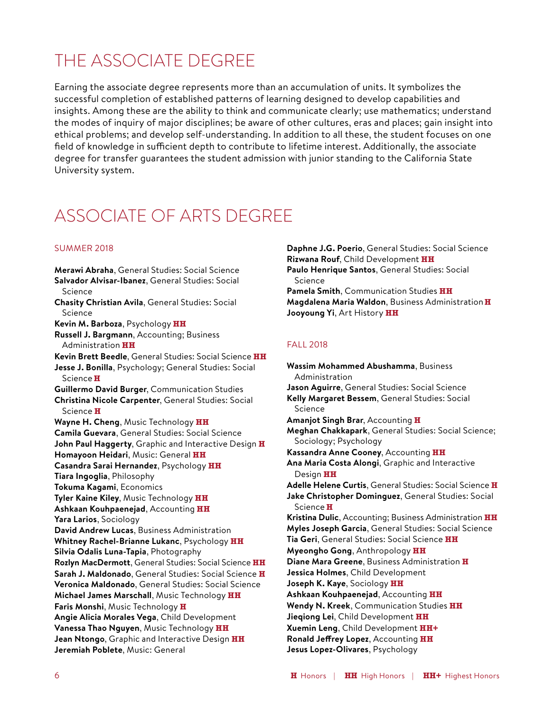### THE ASSOCIATE DEGREE

Earning the associate degree represents more than an accumulation of units. It symbolizes the successful completion of established patterns of learning designed to develop capabilities and insights. Among these are the ability to think and communicate clearly; use mathematics; understand the modes of inquiry of major disciplines; be aware of other cultures, eras and places; gain insight into ethical problems; and develop self-understanding. In addition to all these, the student focuses on one field of knowledge in sufficient depth to contribute to lifetime interest. Additionally, the associate degree for transfer guarantees the student admission with junior standing to the California State University system.

### ASSOCIATE OF ARTS DEGREE

#### SUMMER 2018

**Merawi Abraha**, General Studies: Social Science **Salvador Alvisar-Ibanez**, General Studies: Social Science **Chasity Christian Avila**, General Studies: Social Science **Kevin M. Barboza**, Psychology **HH Russell J. Bargmann**, Accounting; Business Administration **HH Kevin Brett Beedle**, General Studies: Social Science **HH Jesse J. Bonilla**, Psychology; General Studies: Social Science **H Guillermo David Burger**, Communication Studies **Christina Nicole Carpenter**, General Studies: Social Science **H Wayne H. Cheng**, Music Technology **HH Camila Guevara**, General Studies: Social Science **John Paul Haggerty**, Graphic and Interactive Design **H Homayoon Heidari**, Music: General **HH Casandra Sarai Hernandez**, Psychology **HH Tiara Ingoglia**, Philosophy **Tokuma Kagami**, Economics **Tyler Kaine Kiley**, Music Technology **HH Ashkaan Kouhpaenejad**, Accounting **HH Yara Larios**, Sociology **David Andrew Lucas**, Business Administration **Whitney Rachel-Brianne Lukanc**, Psychology **HH Silvia Odalis Luna-Tapia**, Photography **Rozlyn MacDermott**, General Studies: Social Science **HH Sarah J. Maldonado**, General Studies: Social Science **H Veronica Maldonado**, General Studies: Social Science **Michael James Marschall**, Music Technology **HH Faris Monshi**, Music Technology **H Angie Alicia Morales Vega**, Child Development **Vanessa Thao Nguyen**, Music Technology **HH Jean Ntongo**, Graphic and Interactive Design **HH Jeremiah Poblete**, Music: General

**Daphne J.G. Poerio**, General Studies: Social Science **Rizwana Rouf**, Child Development **HH Paulo Henrique Santos**, General Studies: Social Science **Pamela Smith**, Communication Studies **HH Magdalena Maria Waldon**, Business Administration **H Jooyoung Yi**, Art History **HH**

#### FALL 2018

**Wassim Mohammed Abushamma**, Business Administration **Jason Aguirre**, General Studies: Social Science **Kelly Margaret Bessem**, General Studies: Social Science **Amanjot Singh Brar**, Accounting **H Meghan Chakkapark**, General Studies: Social Science; Sociology; Psychology **Kassandra Anne Cooney**, Accounting **HH Ana Maria Costa Alongi**, Graphic and Interactive Design **HH Adelle Helene Curtis**, General Studies: Social Science **H Jake Christopher Dominguez**, General Studies: Social Science **H Kristina Dulic**, Accounting; Business Administration **HH Myles Joseph Garcia**, General Studies: Social Science **Tia Geri**, General Studies: Social Science **HH Myeongho Gong**, Anthropology **HH Diane Mara Greene**, Business Administration **H Jessica Holmes**, Child Development **Joseph K. Kaye**, Sociology **HH Ashkaan Kouhpaenejad**, Accounting **HH Wendy N. Kreek**, Communication Studies **HH Jieqiong Lei**, Child Development **HH Xuemin Leng**, Child Development **HH+ Ronald Jeffrey Lopez**, Accounting **HH Jesus Lopez-Olivares**, Psychology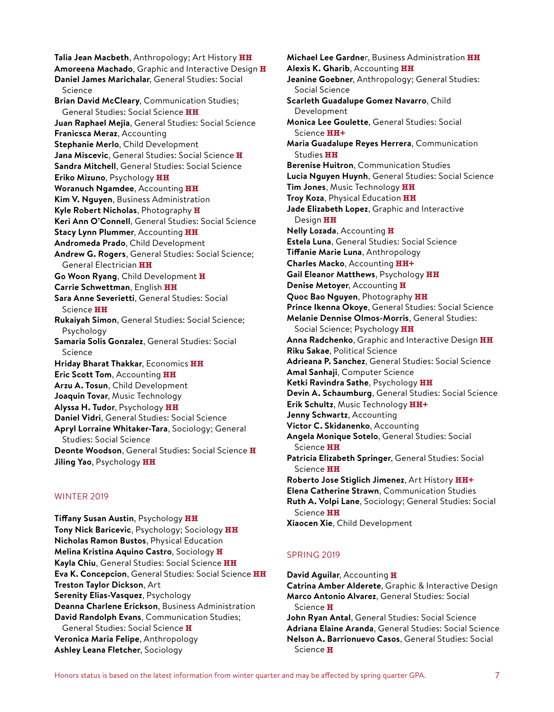**Talia Jean Macbeth**, Anthropology; Art History **HH Amoreena Machado**, Graphic and Interactive Design **H Daniel James Marichalar**, General Studies: Social Science **Brian David McCleary**, Communication Studies; General Studies: Social Science **HH Juan Raphael Mejia**, General Studies: Social Science **Franicsca Meraz**, Accounting **Stephanie Merlo**, Child Development **Jana Miscevic**, General Studies: Social Science **H Sandra Mitchell**, General Studies: Social Science **Eriko Mizuno**, Psychology **HH Woranuch Ngamdee**, Accounting **HH Kim V. Nguyen**, Business Administration **Kyle Robert Nicholas**, Photography **H Keri Ann O'Connell**, General Studies: Social Science **Stacy Lynn Plummer**, Accounting **HH Andromeda Prado**, Child Development **Andrew G. Rogers**, General Studies: Social Science; General Electrician **HH Go Woon Ryang**, Child Development **H Carrie Schwettman**, English **HH Sara Anne Severietti**, General Studies: Social Science **HH Rukaiyah Simon**, General Studies: Social Science; Psychology **Samaria Solis Gonzalez**, General Studies: Social Science **Hriday Bharat Thakkar**, Economics **HH Eric Scott Tom**, Accounting **HH Arzu A. Tosun**, Child Development **Joaquin Tovar**, Music Technology **Alyssa H. Tudor**, Psychology **HH Daniel Vidri**, General Studies: Social Science **Apryl Lorraine Whitaker-Tara**, Sociology; General Studies: Social Science **Deonte Woodson**, General Studies: Social Science **H Jiling Yao**, Psychology **HH**

#### WINTER 2019

**Tiffany Susan Austin**, Psychology **HH Tony Nick Baricevic**, Psychology; Sociology **HH Nicholas Ramon Bustos**, Physical Education **Melina Kristina Aquino Castro**, Sociology **H Kayla Chiu**, General Studies: Social Science **HH Eva K. Concepcion**, General Studies: Social Science **HH Treston Taylor Dickson**, Art **Serenity Elias-Vasquez**, Psychology **Deanna Charlene Erickson**, Business Administration **David Randolph Evans**, Communication Studies; General Studies: Social Science **H Veronica Maria Felipe**, Anthropology **Ashley Leana Fletcher**, Sociology

**Michael Lee Gardne**r, Business Administration **HH Alexis K. Gharib**, Accounting **HH Jeanine Goebner**, Anthropology; General Studies: Social Science **Scarleth Guadalupe Gomez Navarro**, Child Development **Monica Lee Goulette**, General Studies: Social Science **HH+ Maria Guadalupe Reyes Herrera**, Communication Studies **HH Berenise Huitron**, Communication Studies **Lucia Nguyen Huynh**, General Studies: Social Science **Tim Jones**, Music Technology **HH Troy Koza**, Physical Education **HH Jade Elizabeth Lopez**, Graphic and Interactive Design **HH Nelly Lozada**, Accounting **H Estela Luna**, General Studies: Social Science **Tiffanie Marie Luna**, Anthropology **Charles Macko**, Accounting **HH+ Gail Eleanor Matthews**, Psychology **HH Denise Metoyer**, Accounting **H Quoc Bao Nguyen**, Photography **HH Prince Ikenna Okoye**, General Studies: Social Science **Melanie Dennise Olmos-Morris**, General Studies: Social Science; Psychology **HH Anna Radchenko**, Graphic and Interactive Design **HH Riku Sakae**, Political Science **Adrieana P. Sanchez**, General Studies: Social Science **Amal Sanhaji**, Computer Science **Ketki Ravindra Sathe**, Psychology **HH Devin A. Schaumburg**, General Studies: Social Science **Erik Schultz**, Music Technology **HH+ Jenny Schwartz**, Accounting **Victor C. Skidanenko**, Accounting **Angela Monique Sotelo**, General Studies: Social Science **HH Patricia Elizabeth Springer**, General Studies: Social Science **HH Roberto Jose Stiglich Jimenez**, Art History **HH+ Elena Catherine Strawn**, Communication Studies **Ruth A. Volpi Lane**, Sociology; General Studies: Social Science **HH**

#### **Xiaocen Xie**, Child Development

#### SPRING 2019

Science **H**

**David Aguilar**, Accounting **H Catrina Amber Alderete**, Graphic & Interactive Design **Marco Antonio Alvarez**, General Studies: Social Science **H John Ryan Antal**, General Studies: Social Science **Adriana Elaine Aranda**, General Studies: Social Science **Nelson A. Barrionuevo Casos**, General Studies: Social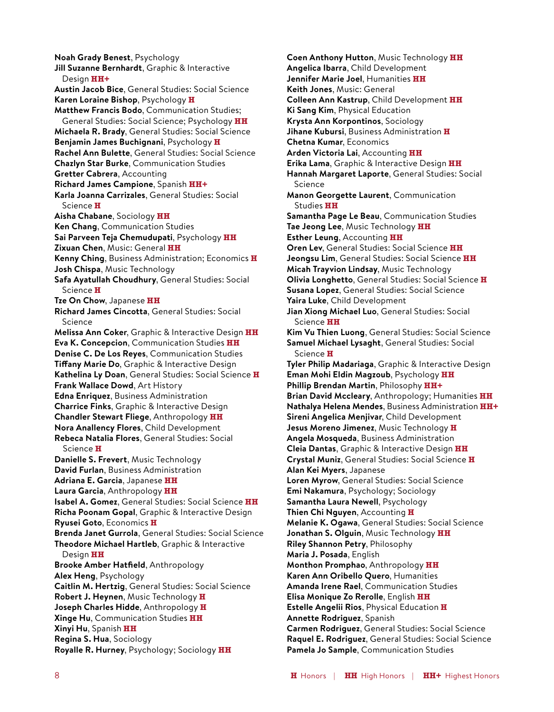**Noah Grady Benest**, Psychology **Jill Suzanne Bernhardt**, Graphic & Interactive Design **HH+ Austin Jacob Bice**, General Studies: Social Science **Karen Loraine Bishop**, Psychology **H Matthew Francis Bodo**, Communication Studies; General Studies: Social Science; Psychology **HH Michaela R. Brady**, General Studies: Social Science **Benjamin James Buchignani**, Psychology **H Rachel Ann Bulette**, General Studies: Social Science **Chazlyn Star Burke**, Communication Studies **Gretter Cabrera**, Accounting **Richard James Campione**, Spanish **HH+ Karla Joanna Carrizales**, General Studies: Social Science **H Aisha Chabane**, Sociology **HH Ken Chang**, Communication Studies **Sai Parveen Teja Chemudupati**, Psychology **HH Zixuan Chen**, Music: General **HH Kenny Ching**, Business Administration; Economics **H Josh Chispa**, Music Technology **Safa Ayatullah Choudhury**, General Studies: Social Science **H Tze On Chow**, Japanese **HH Richard James Cincotta**, General Studies: Social Science **Melissa Ann Coker**, Graphic & Interactive Design **HH Eva K. Concepcion**, Communication Studies **HH Denise C. De Los Reyes**, Communication Studies **Tiffany Marie Do**, Graphic & Interactive Design **Kathelina Ly Doan**, General Studies: Social Science **H Frank Wallace Dowd**, Art History **Edna Enriquez**, Business Administration **Charrice Finks**, Graphic & Interactive Design **Chandler Stewart Fliege**, Anthropology **HH Nora Anallency Flores**, Child Development **Rebeca Natalia Flores**, General Studies: Social Science **H Danielle S. Frevert**, Music Technology **David Furlan**, Business Administration **Adriana E. Garcia**, Japanese **HH Laura Garcia**, Anthropology **HH Isabel A. Gomez**, General Studies: Social Science **HH Richa Poonam Gopal**, Graphic & Interactive Design **Ryusei Goto**, Economics **H Brenda Janet Gurrola**, General Studies: Social Science **Theodore Michael Hartleb**, Graphic & Interactive Design **HH Brooke Amber Hatfield**, Anthropology **Alex Heng**, Psychology **Caitlin M. Hertzig**, General Studies: Social Science **Robert J. Heynen**, Music Technology **H Joseph Charles Hidde**, Anthropology **H Xinge Hu**, Communication Studies **HH Xinyi Hu**, Spanish **HH Regina S. Hua**, Sociology **Royalle R. Hurney**, Psychology; Sociology **HH**

**Coen Anthony Hutton**, Music Technology **HH Angelica Ibarra**, Child Development **Jennifer Marie Joel**, Humanities **HH Keith Jones**, Music: General **Colleen Ann Kastrup**, Child Development **HH Ki Sang Kim**, Physical Education **Krysta Ann Korpontinos**, Sociology **Jihane Kubursi**, Business Administration **H Chetna Kumar**, Economics **Arden Victoria Lai**, Accounting **HH Erika Lama**, Graphic & Interactive Design **HH Hannah Margaret Laporte**, General Studies: Social Science **Manon Georgette Laurent**, Communication Studies **HH Samantha Page Le Beau**, Communication Studies **Tae Jeong Lee**, Music Technology **HH Esther Leung**, Accounting **HH Oren Lev**, General Studies: Social Science **HH Jeongsu Lim**, General Studies: Social Science **HH Micah Trayvion Lindsay**, Music Technology **Olivia Longhetto**, General Studies: Social Science **H Susana Lopez**, General Studies: Social Science **Yaira Luke**, Child Development **Jian Xiong Michael Luo**, General Studies: Social Science **HH Kim Vu Thien Luong**, General Studies: Social Science **Samuel Michael Lysaght**, General Studies: Social Science **H Tyler Philip Madariaga**, Graphic & Interactive Design **Eman Mohi Eldin Magzoub**, Psychology **HH Phillip Brendan Martin**, Philosophy **HH+ Brian David Mccleary**, Anthropology; Humanities **HH Nathalya Helena Mendes**, Business Administration **HH+ Sireni Angelica Menjivar**, Child Development **Jesus Moreno Jimenez**, Music Technology **H Angela Mosqueda**, Business Administration **Cleia Dantas**, Graphic & Interactive Design **HH Crystal Muniz**, General Studies: Social Science **H Alan Kei Myers**, Japanese **Loren Myrow**, General Studies: Social Science **Emi Nakamura**, Psychology; Sociology **Samantha Laura Newell**, Psychology **Thien Chi Nguyen**, Accounting **H Melanie K. Ogawa**, General Studies: Social Science **Jonathan S. Olguin**, Music Technology **HH Riley Shannon Petry**, Philosophy **Maria J. Posada**, English **Monthon Promphao**, Anthropology **HH Karen Ann Oribello Quero**, Humanities **Amanda Irene Rael**, Communication Studies **Elisa Monique Zo Rerolle**, English **HH Estelle Angelii Rios**, Physical Education **H Annette Rodriguez**, Spanish **Carmen Rodriguez**, General Studies: Social Science **Raquel E. Rodriguez**, General Studies: Social Science **Pamela Jo Sample**, Communication Studies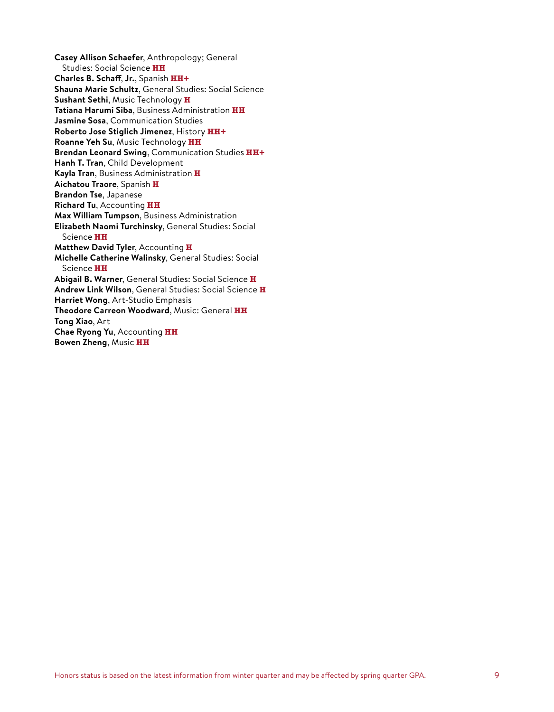**Casey Allison Schaefer**, Anthropology; General Studies: Social Science **HH Charles B. Schaff**, **Jr.**, Spanish **HH+ Shauna Marie Schultz**, General Studies: Social Science **Sushant Sethi**, Music Technology **H Tatiana Harumi Siba**, Business Administration **HH Jasmine Sosa**, Communication Studies **Roberto Jose Stiglich Jimenez**, History **HH+ Roanne Yeh Su**, Music Technology **HH Brendan Leonard Swing**, Communication Studies **HH+ Hanh T. Tran**, Child Development **Kayla Tran**, Business Administration **H Aichatou Traore**, Spanish **H Brandon Tse**, Japanese **Richard Tu**, Accounting **HH Max William Tumpson**, Business Administration **Elizabeth Naomi Turchinsky**, General Studies: Social Science **HH Matthew David Tyler**, Accounting **H Michelle Catherine Walinsky**, General Studies: Social Science **HH Abigail B. Warner**, General Studies: Social Science **H Andrew Link Wilson**, General Studies: Social Science **H Harriet Wong**, Art-Studio Emphasis **Theodore Carreon Woodward**, Music: General **HH Tong Xiao**, Art **Chae Ryong Yu**, Accounting **HH Bowen Zheng**, Music **HH**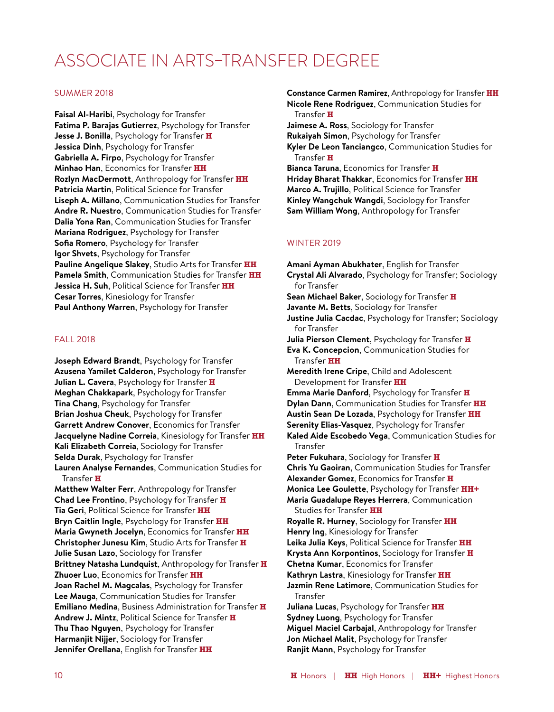### ASSOCIATE IN ARTS–TRANSFER DEGREE

#### SUMMER 2018

**Faisal Al-Haribi**, Psychology for Transfer **Fatima P. Barajas Gutierrez**, Psychology for Transfer **Jesse J. Bonilla**, Psychology for Transfer **H Jessica Dinh**, Psychology for Transfer **Gabriella A. Firpo**, Psychology for Transfer **Minhao Han**, Economics for Transfer **HH Rozlyn MacDermott**, Anthropology for Transfer **HH Patricia Martin**, Political Science for Transfer **Liseph A. Millano**, Communication Studies for Transfer **Andre R. Nuestro**, Communication Studies for Transfer **Dalia Yona Ran**, Communication Studies for Transfer **Mariana Rodriguez**, Psychology for Transfer **Sofia Romero**, Psychology for Transfer **Igor Shvets**, Psychology for Transfer **Pauline Angelique Slakey**, Studio Arts for Transfer **HH Pamela Smith**, Communication Studies for Transfer **HH Jessica H. Suh**, Political Science for Transfer **HH Cesar Torres**, Kinesiology for Transfer **Paul Anthony Warren**, Psychology for Transfer

#### FALL 2018

**Joseph Edward Brandt**, Psychology for Transfer **Azusena Yamilet Calderon**, Psychology for Transfer **Julian L. Cavera**, Psychology for Transfer **H Meghan Chakkapark**, Psychology for Transfer **Tina Chang**, Psychology for Transfer **Brian Joshua Cheuk**, Psychology for Transfer **Garrett Andrew Conover**, Economics for Transfer **Jacquelyne Nadine Correia**, Kinesiology for Transfer **HH Kali Elizabeth Correia**, Sociology for Transfer **Selda Durak**, Psychology for Transfer **Lauren Analyse Fernandes**, Communication Studies for Transfer **H Matthew Walter Ferr**, Anthropology for Transfer **Chad Lee Frontino**, Psychology for Transfer **H Tia Geri**, Political Science for Transfer **HH Bryn Caitlin Ingle**, Psychology for Transfer **HH Maria Gwyneth Jocelyn**, Economics for Transfer **HH Christopher Junesu Kim**, Studio Arts for Transfer **H Julie Susan Lazo**, Sociology for Transfer **Brittney Natasha Lundquist**, Anthropology for Transfer **H Zhuoer Luo**, Economics for Transfer **HH Joan Rachel M. Magcalas**, Psychology for Transfer **Lee Mauga**, Communication Studies for Transfer **Emiliano Medina**, Business Administration for Transfer **H Andrew J. Mintz**, Political Science for Transfer **H Thu Thao Nguyen**, Psychology for Transfer **Harmanjit Nijjer**, Sociology for Transfer

**Jennifer Orellana**, English for Transfer **HH**

**Constance Carmen Ramirez**, Anthropology for Transfer **HH Nicole Rene Rodriguez**, Communication Studies for Transfer **H Jaimese A. Ross**, Sociology for Transfer **Rukaiyah Simon**, Psychology for Transfer **Kyler De Leon Tanciangco**, Communication Studies for Transfer **H Bianca Taruna**, Economics for Transfer **H Hriday Bharat Thakkar**, Economics for Transfer **HH Marco A. Trujillo**, Political Science for Transfer

**Kinley Wangchuk Wangdi**, Sociology for Transfer **Sam William Wong**, Anthropology for Transfer

#### WINTER 2019

**Amani Ayman Abukhater**, English for Transfer **Crystal Ali Alvarado**, Psychology for Transfer; Sociology for Transfer **Sean Michael Baker**, Sociology for Transfer **H Javante M. Betts**, Sociology for Transfer **Justine Julia Cacdac**, Psychology for Transfer; Sociology for Transfer **Julia Pierson Clement**, Psychology for Transfer **H Eva K. Concepcion**, Communication Studies for Transfer **HH Meredith Irene Cripe**, Child and Adolescent Development for Transfer **HH Emma Marie Danford**, Psychology for Transfer **H Dylan Dann**, Communication Studies for Transfer **HH Austin Sean De Lozada**, Psychology for Transfer **HH Serenity Elias-Vasquez**, Psychology for Transfer **Kaled Aide Escobedo Vega**, Communication Studies for Transfer **Peter Fukuhara**, Sociology for Transfer **H Chris Yu Gaoiran**, Communication Studies for Transfer **Alexander Gomez**, Economics for Transfer **H Monica Lee Goulette**, Psychology for Transfer **HH+ Maria Guadalupe Reyes Herrera**, Communication Studies for Transfer **HH Royalle R. Hurney**, Sociology for Transfer **HH Henry Ing**, Kinesiology for Transfer **Leika Julia Keys**, Political Science for Transfer **HH Krysta Ann Korpontinos**, Sociology for Transfer **H Chetna Kumar**, Economics for Transfer **Kathryn Lastra**, Kinesiology for Transfer **HH Jazmin Rene Latimore**, Communication Studies for Transfer **Juliana Lucas**, Psychology for Transfer **HH Sydney Luong**, Psychology for Transfer **Miguel Maciel Carbajal**, Anthropology for Transfer **Jon Michael Malit**, Psychology for Transfer **Ranjit Mann**, Psychology for Transfer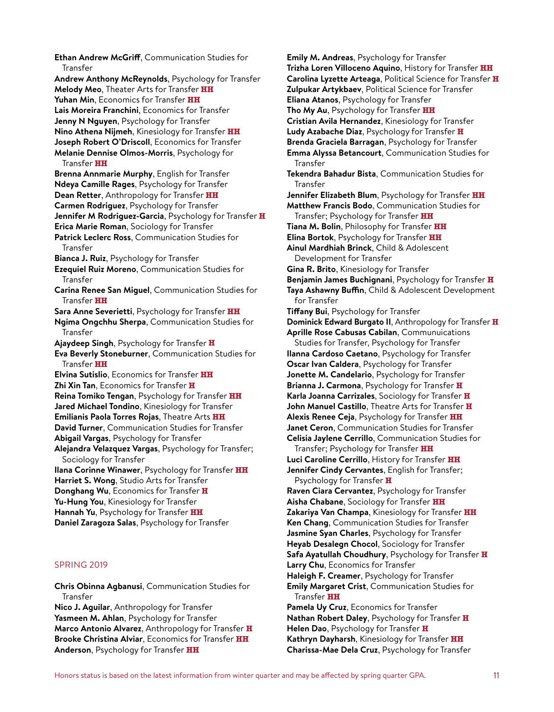**Ethan Andrew McGriff**, Communication Studies for Transfer **Andrew Anthony McReynolds**, Psychology for Transfer **Melody Meo**, Theater Arts for Transfer **HH Yuhan Min**, Economics for Transfer **HH Lais Moreira Franchini**, Economics for Transfer **Jenny N Nguyen**, Psychology for Transfer **Nino Athena Nijmeh**, Kinesiology for Transfer **HH Joseph Robert O'Driscoll**, Economics for Transfer **Melanie Dennise Olmos-Morris**, Psychology for Transfer **HH Brenna Annmarie Murphy**, English for Transfer **Ndeya Camille Rages**, Psychology for Transfer **Dean Retter**, Anthropology for Transfer **HH Carmen Rodriguez**, Psychology for Transfer **Jennifer M Rodriguez-Garcia**, Psychology for Transfer **H Erica Marie Roman**, Sociology for Transfer **Patrick Leclerc Ross**, Communication Studies for Transfer **Bianca J. Ruiz**, Psychology for Transfer **Ezequiel Ruiz Moreno**, Communication Studies for Transfer **Carina Renee San Miguel**, Communication Studies for Transfer **HH Sara Anne Severietti**, Psychology for Transfer **HH Ngima Ongchhu Sherpa**, Communication Studies for Transfer **Ajaydeep Singh**, Psychology for Transfer **H Eva Beverly Stoneburner**, Communication Studies for Transfer **HH Elvina Sutislio**, Economics for Transfer **HH Zhi Xin Tan**, Economics for Transfer **H Reina Tomiko Tengan**, Psychology for Transfer **HH Jared Michael Tondino**, Kinesiology for Transfer **Emilianis Paola Torres Rojas**, Theatre Arts **HH David Turner**, Communication Studies for Transfer **Abigail Vargas**, Psychology for Transfer **Alejandra Velazquez Vargas**, Psychology for Transfer; Sociology for Transfer **Ilana Corinne Winawer**, Psychology for Transfer **HH Harriet S. Wong**, Studio Arts for Transfer **Donghang Wu**, Economics for Transfer **H Yu-Hung You**, Kinesiology for Transfer **Hannah Yu**, Psychology for Transfer **HH Daniel Zaragoza Salas**, Psychology for Transfer SPRING 2019

**Chris Obinna Agbanusi**, Communication Studies for Transfer

**Nico J. Aguilar**, Anthropology for Transfer **Yasmeen M. Ahlan**, Psychology for Transfer **Marco Antonio Alvarez**, Anthropology for Transfer **H Brooke Christina Alviar**, Economics for Transfer **HH Anderson**, Psychology for Transfer **HH**

**Emily M. Andreas**, Psychology for Transfer **Trizha Loren Villoceno Aquino**, History for Transfer **HH Carolina Lyzette Arteaga**, Political Science for Transfer **H Zulpukar Artykbaev**, Political Science for Transfer **Eliana Atanos**, Psychology for Transfer **Tho My Au**, Psychology for Transfer **HH Cristian Avila Hernandez**, Kinesiology for Transfer **Ludy Azabache Diaz**, Psychology for Transfer **H Brenda Graciela Barragan**, Psychology for Transfer **Emma Alyssa Betancourt**, Communication Studies for Transfer **Tekendra Bahadur Bista**, Communication Studies for Transfer **Jennifer Elizabeth Blum**, Psychology for Transfer **HH Matthew Francis Bodo**, Communication Studies for Transfer; Psychology for Transfer **HH Tiana M. Bolin**, Philosophy for Transfer **HH Elina Bortok**, Psychology for Transfer **HH Ainul Mardhiah Brinck**, Child & Adolescent Development for Transfer **Gina R. Brito**, Kinesiology for Transfer **Benjamin James Buchignani**, Psychology for Transfer **H Taya Ashawny Buffin**, Child & Adolescent Development for Transfer **Tiffany Bui**, Psychology for Transfer **Dominick Edward Burgato II**, Anthropology for Transfer **H Aprille Rose Cabusas Cabilan**, Communuications Studies for Transfer, Psychology for Transfer **Ilanna Cardoso Caetano**, Psychology for Transfer **Oscar Ivan Caldera**, Psychology for Transfer **Jonette M. Candelario**, Psychology for Transfer **Brianna J. Carmona**, Psychology for Transfer **H Karla Joanna Carrizales**, Sociology for Transfer **H John Manuel Castillo**, Theatre Arts for Transfer **H Alexis Renee Ceja**, Psychology for Transfer **HH Janet Ceron**, Communication Studies for Transfer **Celisia Jaylene Cerrillo**, Communication Studies for Transfer; Psychology for Transfer **HH Luci Caroline Cerrillo**, History for Transfer **HH Jennifer Cindy Cervantes**, English for Transfer; Psychology for Transfer **H Raven Ciara Cervantez**, Psychology for Transfer **Aisha Chabane**, Sociology for Transfer **HH Zakariya Van Champa**, Kinesiology for Transfer **HH Ken Chang**, Communication Studies for Transfer **Jasmine Syan Charles**, Psychology for Transfer **Heyab Desalegn Chocol**, Sociology for Transfer **Safa Ayatullah Choudhury**, Psychology for Transfer **H Larry Chu**, Economics for Transfer **Haleigh F. Creamer**, Psychology for Transfer **Emily Margaret Crist**, Communication Studies for Transfer **HH Pamela Uy Cruz**, Economics for Transfer **Nathan Robert Daley**, Psychology for Transfer **H Helen Dao**, Psychology for Transfer **H**

**Kathryn Dayharsh**, Kinesiology for Transfer **HH Charissa-Mae Dela Cruz**, Psychology for Transfer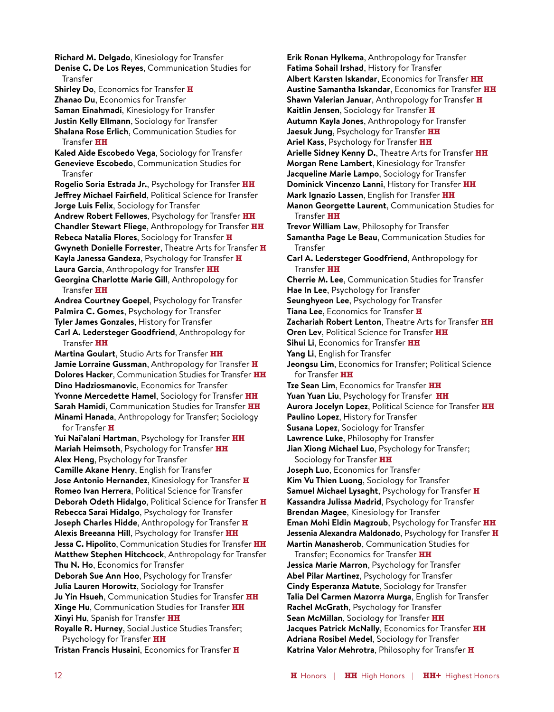**Richard M. Delgado**, Kinesiology for Transfer **Denise C. De Los Reyes**, Communication Studies for Transfer **Shirley Do**, Economics for Transfer **H Zhanao Du**, Economics for Transfer **Saman Einahmadi**, Kinesiology for Transfer **Justin Kelly Ellmann**, Sociology for Transfer **Shalana Rose Erlich**, Communication Studies for Transfer **HH Kaled Aide Escobedo Vega**, Sociology for Transfer **Genevieve Escobedo**, Communication Studies for Transfer **Rogelio Soria Estrada Jr.**, Psychology for Transfer **HH Jeffrey Michael Fairfield**, Political Science for Transfer **Jorge Luis Felix**, Sociology for Transfer **Andrew Robert Fellowes**, Psychology for Transfer **HH Chandler Stewart Fliege**, Anthropology for Transfer **HH Rebeca Natalia Flores**, Sociology for Transfer **H Gwyneth Donielle Forrester**, Theatre Arts for Transfer **H Kayla Janessa Gandeza**, Psychology for Transfer **H Laura Garcia**, Anthropology for Transfer **HH Georgina Charlotte Marie Gill**, Anthropology for Transfer **HH Andrea Courtney Goepel**, Psychology for Transfer **Palmira C. Gomes**, Psychology for Transfer **Tyler James Gonzales**, History for Transfer **Carl A. Ledersteger Goodfriend**, Anthropology for Transfer **HH Martina Goulart**, Studio Arts for Transfer **HH Jamie Lorraine Gussman**, Anthropology for Transfer **H Dolores Hacker**, Communication Studies for Transfer **HH Dino Hadziosmanovic**, Economics for Transfer **Yvonne Mercedette Hamel**, Sociology for Transfer **HH Sarah Hamidi**, Communication Studies for Transfer **HH Minami Hanada**, Anthropology for Transfer; Sociology for Transfer **H Yui Nai'alani Hartman**, Psychology for Transfer **HH Mariah Heimsoth**, Psychology for Transfer **HH Alex Heng**, Psychology for Transfer **Camille Akane Henry**, English for Transfer **Jose Antonio Hernandez**, Kinesiology for Transfer **H Romeo Ivan Herrera**, Political Science for Transfer **Deborah Odeth Hidalgo**, Political Science for Transfer **H Rebecca Sarai Hidalgo**, Psychology for Transfer **Joseph Charles Hidde**, Anthropology for Transfer **H Alexis Breeanna Hill**, Psychology for Transfer **HH Jessa C. Hipolito**, Communication Studies for Transfer **HH Matthew Stephen Hitchcock**, Anthropology for Transfer **Thu N. Ho**, Economics for Transfer **Deborah Sue Ann Hoo**, Psychology for Transfer **Julia Lauren Horowitz**, Sociology for Transfer **Ju Yin Hsueh**, Communication Studies for Transfer **HH Xinge Hu**, Communication Studies for Transfer **HH Xinyi Hu**, Spanish for Transfer **HH Royalle R. Hurney**, Social Justice Studies Transfer; Psychology for Transfer **HH Tristan Francis Husaini**, Economics for Transfer **H**

**Erik Ronan Hylkema**, Anthropology for Transfer **Fatima Sohail Irshad**, History for Transfer **Albert Karsten Iskandar**, Economics for Transfer **HH Austine Samantha Iskandar**, Economics for Transfer **HH Shawn Valerian Januar**, Anthropology for Transfer **H Kaitlin Jensen**, Sociology for Transfer **H Autumn Kayla Jones**, Anthropology for Transfer **Jaesuk Jung**, Psychology for Transfer **HH Ariel Kass**, Psychology for Transfer **HH Arielle Sidney Kenny D.**, Theatre Arts for Transfer **HH Morgan Rene Lambert**, Kinesiology for Transfer **Jacqueline Marie Lampo**, Sociology for Transfer **Dominick Vincenzo Lanni**, History for Transfer **HH Mark Ignazio Lassen**, English for Transfer **HH Manon Georgette Laurent**, Communication Studies for Transfer **HH Trevor William Law**, Philosophy for Transfer **Samantha Page Le Beau**, Communication Studies for Transfer **Carl A. Ledersteger Goodfriend**, Anthropology for Transfer **HH Cherrie M. Lee**, Communication Studies for Transfer **Hae In Lee**, Psychology for Transfer **Seunghyeon Lee**, Psychology for Transfer **Tiana Lee**, Economics for Transfer **H Zachariah Robert Lenton**, Theatre Arts for Transfer **HH Oren Lev**, Political Science for Transfer **HH Sihui Li**, Economics for Transfer **HH Yang Li**, English for Transfer **Jeongsu Lim**, Economics for Transfer; Political Science for Transfer **HH Tze Sean Lim**, Economics for Transfer **HH Yuan Yuan Liu**, Psychology for Transfer **HH Aurora Jocelyn Lopez**, Political Science for Transfer **HH Paulino Lopez**, History for Transfer **Susana Lopez**, Sociology for Transfer **Lawrence Luke**, Philosophy for Transfer **Jian Xiong Michael Luo**, Psychology for Transfer; Sociology for Transfer **HH Joseph Luo**, Economics for Transfer **Kim Vu Thien Luong**, Sociology for Transfer **Samuel Michael Lysaght**, Psychology for Transfer **H Kassandra Julissa Madrid**, Psychology for Transfer **Brendan Magee**, Kinesiology for Transfer **Eman Mohi Eldin Magzoub**, Psychology for Transfer **HH Jessenia Alexandra Maldonado**, Psychology for Transfer **H Martin Manasherob**, Communication Studies for Transfer; Economics for Transfer **HH Jessica Marie Marron**, Psychology for Transfer **Abel Pilar Martinez**, Psychology for Transfer **Cindy Esperanza Matute**, Sociology for Transfer

**Talia Del Carmen Mazorra Murga**, English for Transfer **Rachel McGrath**, Psychology for Transfer **Sean McMillan**, Sociology for Transfer **HH Jacques Patrick McNally**, Economics for Transfer **HH Adriana Rosibel Medel**, Sociology for Transfer **Katrina Valor Mehrotra**, Philosophy for Transfer **H**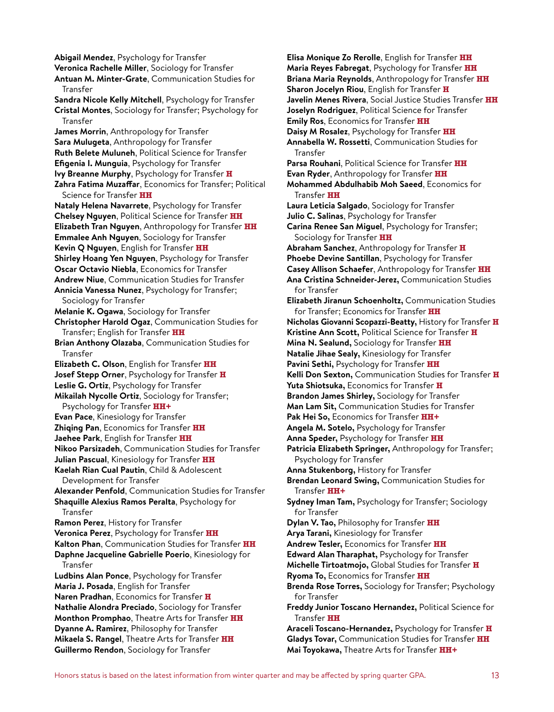**Abigail Mendez**, Psychology for Transfer **Veronica Rachelle Miller**, Sociology for Transfer **Antuan M. Minter-Grate**, Communication Studies for Transfer **Sandra Nicole Kelly Mitchell**, Psychology for Transfer **Cristal Montes**, Sociology for Transfer; Psychology for Transfer **James Morrin**, Anthropology for Transfer **Sara Mulugeta**, Anthropology for Transfer **Ruth Belete Muluneh**, Political Science for Transfer **Efigenia I. Munguia**, Psychology for Transfer **Ivy Breanne Murphy**, Psychology for Transfer **H Zahra Fatima Muzaffar**, Economics for Transfer; Political Science for Transfer **HH Nataly Helena Navarrete**, Psychology for Transfer **Chelsey Nguyen**, Political Science for Transfer **HH Elizabeth Tran Nguyen**, Anthropology for Transfer **HH Emmalee Anh Nguyen**, Sociology for Transfer **Kevin Q Nguyen**, English for Transfer **HH Shirley Hoang Yen Nguyen**, Psychology for Transfer **Oscar Octavio Niebla**, Economics for Transfer **Andrew Niue**, Communication Studies for Transfer **Annicia Vanessa Nunez**, Psychology for Transfer; Sociology for Transfer **Melanie K. Ogawa**, Sociology for Transfer **Christopher Harold Ogaz**, Communication Studies for Transfer; English for Transfer **HH Brian Anthony Olazaba**, Communication Studies for Transfer **Elizabeth C. Olson**, English for Transfer **HH Josef Stepp Orner**, Psychology for Transfer **H Leslie G. Ortiz**, Psychology for Transfer **Mikailah Nycolle Ortiz**, Sociology for Transfer; Psychology for Transfer **HH+ Evan Pace**, Kinesiology for Transfer **Zhiqing Pan**, Economics for Transfer **HH Jaehee Park**, English for Transfer **HH Nikoo Parsizadeh**, Communication Studies for Transfer **Julian Pascual**, Kinesiology for Transfer **HH Kaelah Rian Cual Pautin**, Child & Adolescent Development for Transfer **Alexander Penfold**, Communication Studies for Transfer **Shaquille Alexius Ramos Peralta**, Psychology for Transfer **Ramon Perez**, History for Transfer **Veronica Perez**, Psychology for Transfer **HH Kalton Phan**, Communication Studies for Transfer **HH Daphne Jacqueline Gabrielle Poerio**, Kinesiology for Transfer **Ludbins Alan Ponce**, Psychology for Transfer **Maria J. Posada**, English for Transfer **Naren Pradhan**, Economics for Transfer **H Nathalie Alondra Preciado**, Sociology for Transfer **Monthon Promphao**, Theatre Arts for Transfer **HH Dyanne A. Ramirez**, Philosophy for Transfer **Mikaela S. Rangel**, Theatre Arts for Transfer **HH Guillermo Rendon**, Sociology for Transfer

**Elisa Monique Zo Rerolle**, English for Transfer **HH Maria Reyes Fabregat**, Psychology for Transfer **HH Briana Maria Reynolds**, Anthropology for Transfer **HH Sharon Jocelyn Riou**, English for Transfer **H Javelin Menes Rivera**, Social Justice Studies Transfer **HH Joselyn Rodriguez**, Political Science for Transfer **Emily Ros**, Economics for Transfer **HH Daisy M Rosalez**, Psychology for Transfer **HH Annabella W. Rossetti**, Communication Studies for Transfer **Parsa Rouhani**, Political Science for Transfer **HH Evan Ryder**, Anthropology for Transfer **HH Mohammed Abdulhabib Moh Saeed**, Economics for Transfer **HH Laura Leticia Salgado**, Sociology for Transfer **Julio C. Salinas**, Psychology for Transfer **Carina Renee San Miguel**, Psychology for Transfer; Sociology for Transfer **HH Abraham Sanchez**, Anthropology for Transfer **H Phoebe Devine Santillan**, Psychology for Transfer **Casey Allison Schaefer**, Anthropology for Transfer **HH Ana Cristina Schneider-Jerez,** Communication Studies for Transfer **Elizabeth Jiranun Schoenholtz,** Communication Studies for Transfer; Economics for Transfer **HH Nicholas Giovanni Scopazzi-Beatty,** History for Transfer **H Kristine Ann Scott,** Political Science for Transfer **H Mina N. Sealund,** Sociology for Transfer **HH Natalie Jihae Sealy,** Kinesiology for Transfer **Pavini Sethi,** Psychology for Transfer **HH Kelli Don Sexton,** Communication Studies for Transfer **H Yuta Shiotsuka,** Economics for Transfer **H Brandon James Shirley,** Sociology for Transfer **Man Lam Sit,** Communication Studies for Transfer **Pak Hei So,** Economics for Transfer **HH+ Angela M. Sotelo,** Psychology for Transfer **Anna Speder,** Psychology for Transfer **HH Patricia Elizabeth Springer,** Anthropology for Transfer; Psychology for Transfer **Anna Stukenborg,** History for Transfer **Brendan Leonard Swing,** Communication Studies for Transfer **HH+ Sydney Iman Tam,** Psychology for Transfer; Sociology for Transfer **Dylan V. Tao,** Philosophy for Transfer **HH Arya Tarani,** Kinesiology for Transfer **Andrew Tesler,** Economics for Transfer **HH Edward Alan Tharaphat,** Psychology for Transfer **Michelle Tirtoatmojo,** Global Studies for Transfer **H Ryoma To,** Economics for Transfer **HH Brenda Rose Torres,** Sociology for Transfer; Psychology for Transfer **Freddy Junior Toscano Hernandez,** Political Science for Transfer **HH Araceli Toscano-Hernandez,** Psychology for Transfer **H Gladys Tovar,** Communication Studies for Transfer **HH**

**Mai Toyokawa,** Theatre Arts for Transfer **HH+**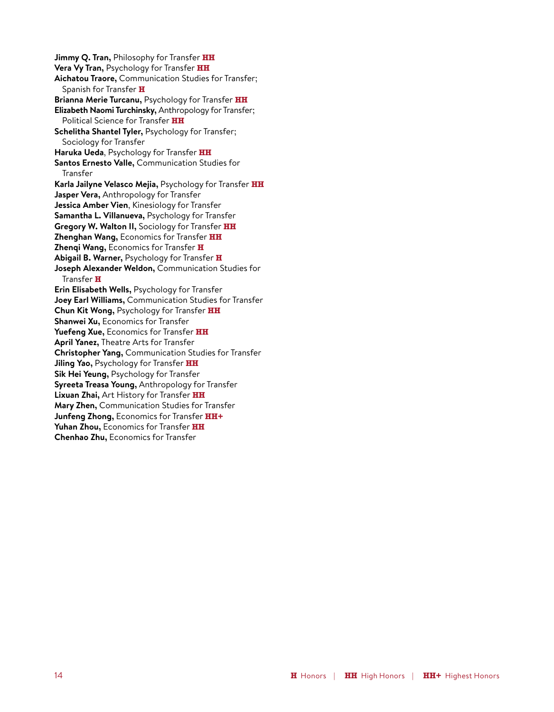**Jimmy Q. Tran,** Philosophy for Transfer **HH Vera Vy Tran,** Psychology for Transfer **HH Aichatou Traore,** Communication Studies for Transfer; Spanish for Transfer **H Brianna Merie Turcanu,** Psychology for Transfer **HH Elizabeth Naomi Turchinsky,** Anthropology for Transfer; Political Science for Transfer **HH Schelitha Shantel Tyler,** Psychology for Transfer; Sociology for Transfer **Haruka Ueda**, Psychology for Transfer **HH Santos Ernesto Valle,** Communication Studies for Transfer **Karla Jailyne Velasco Mejia,** Psychology for Transfer **HH Jasper Vera,** Anthropology for Transfer **Jessica Amber Vien**, Kinesiology for Transfer **Samantha L. Villanueva,** Psychology for Transfer **Gregory W. Walton II,** Sociology for Transfer **HH Zhenghan Wang,** Economics for Transfer **HH Zhenqi Wang,** Economics for Transfer **H Abigail B. Warner,** Psychology for Transfer **H Joseph Alexander Weldon,** Communication Studies for Transfer **H Erin Elisabeth Wells,** Psychology for Transfer **Joey Earl Williams,** Communication Studies for Transfer **Chun Kit Wong,** Psychology for Transfer **HH Shanwei Xu,** Economics for Transfer **Yuefeng Xue,** Economics for Transfer **HH April Yanez,** Theatre Arts for Transfer **Christopher Yang,** Communication Studies for Transfer **Jiling Yao,** Psychology for Transfer **HH Sik Hei Yeung,** Psychology for Transfer **Syreeta Treasa Young,** Anthropology for Transfer **Lixuan Zhai,** Art History for Transfer **HH Mary Zhen,** Communication Studies for Transfer **Junfeng Zhong,** Economics for Transfer **HH+ Yuhan Zhou,** Economics for Transfer **HH Chenhao Zhu,** Economics for Transfer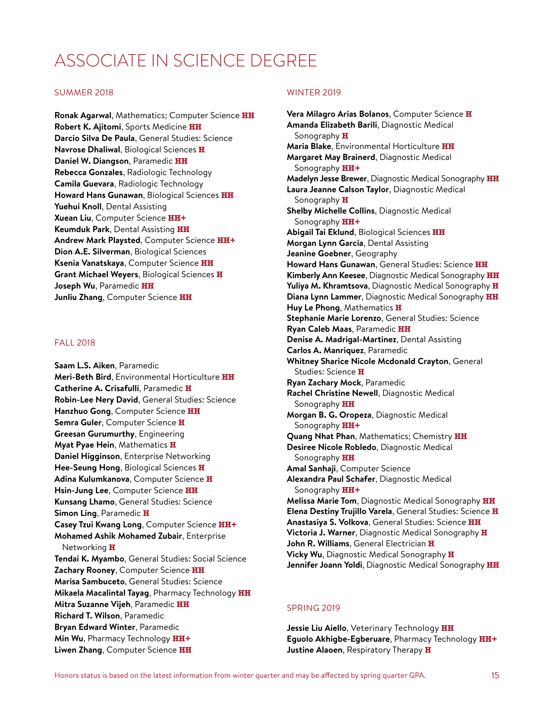## ASSOCIATE IN SCIENCE DEGREE

#### SUMMER 2018

**Ronak Agarwal**, Mathematics; Computer Science **HH Robert K. Ajitomi**, Sports Medicine **HH Darcio Silva De Paula**, General Studies: Science **Navrose Dhaliwal**, Biological Sciences **H Daniel W. Diangson**, Paramedic **HH Rebecca Gonzales**, Radiologic Technology **Camila Guevara**, Radiologic Technology **Howard Hans Gunawan**, Biological Sciences **HH Yuehui Knoll**, Dental Assisting **Xuean Liu**, Computer Science **HH+ Keumduk Park**, Dental Assisting **HH Andrew Mark Playsted**, Computer Science **HH+ Dion A.E. Silverman**, Biological Sciences **Ksenia Vanatskaya**, Computer Science **HH Grant Michael Weyers**, Biological Sciences **H Joseph Wu**, Paramedic **HH Junliu Zhang**, Computer Science **HH**

#### FALL 2018

**Saam L.S. Aiken**, Paramedic **Meri-Beth Bird**, Environmental Horticulture **HH Catherine A. Crisafulli**, Paramedic **H Robin-Lee Nery David**, General Studies: Science **Hanzhuo Gong**, Computer Science **HH Semra Guler**, Computer Science **H Greesan Gurumurthy**, Engineering **Myat Pyae Hein**, Mathematics **H Daniel Higginson**, Enterprise Networking **Hee-Seung Hong**, Biological Sciences **H Adina Kulumkanova**, Computer Science **H Hsin-Jung Lee**, Computer Science **HH Kunsang Lhamo**, General Studies: Science **Simon Ling**, Paramedic **H Casey Tzui Kwang Long**, Computer Science **HH+ Mohamed Ashik Mohamed Zubair**, Enterprise Networking **H Tendai K. Myambo**, General Studies: Social Science **Zachary Rooney**, Computer Science **HH Marisa Sambuceto**, General Studies: Science **Mikaela Macalintal Tayag**, Pharmacy Technology **HH Mitra Suzanne Vijeh**, Paramedic **HH Richard T. Wilson**, Paramedic **Bryan Edward Winter**, Paramedic **Min Wu**, Pharmacy Technology **HH+ Liwen Zhang**, Computer Science **HH**

#### WINTER 2019

**Vera Milagro Arias Bolanos**, Computer Science **H Amanda Elizabeth Barili**, Diagnostic Medical Sonography **H Maria Blake**, Environmental Horticulture **HH Margaret May Brainerd**, Diagnostic Medical Sonography **HH+ Madelyn Jesse Brewer**, Diagnostic Medical Sonography **HH Laura Jeanne Calson Taylor**, Diagnostic Medical Sonography **H Shelby Michelle Collins**, Diagnostic Medical Sonography **HH+ Abigail Tai Eklund**, Biological Sciences **HH Morgan Lynn Garcia**, Dental Assisting **Jeanine Goebner**, Geography **Howard Hans Gunawan**, General Studies: Science **HH Kimberly Ann Keesee**, Diagnostic Medical Sonography **HH Yuliya M. Khramtsova**, Diagnostic Medical Sonography **H Diana Lynn Lammer**, Diagnostic Medical Sonography **HH Huy Le Phong**, Mathematics **H Stephanie Marie Lorenzo**, General Studies: Science **Ryan Caleb Maas**, Paramedic **HH Denise A. Madrigal-Martinez**, Dental Assisting **Carlos A. Manriquez**, Paramedic **Whitney Sharice Nicole Mcdonald Crayton**, General Studies: Science **H Ryan Zachary Mock**, Paramedic **Rachel Christine Newell**, Diagnostic Medical Sonography **HH Morgan B. G. Oropeza**, Diagnostic Medical Sonography **HH+ Quang Nhat Phan**, Mathematics; Chemistry **HH Desiree Nicole Robledo**, Diagnostic Medical Sonography **HH Amal Sanhaji**, Computer Science **Alexandra Paul Schafer**, Diagnostic Medical Sonography **HH+ Melissa Marie Tom**, Diagnostic Medical Sonography **HH Elena Destiny Trujillo Varela**, General Studies: Science **H Anastasiya S. Volkova**, General Studies: Science **HH Victoria J. Warner**, Diagnostic Medical Sonography **H John R. Williams**, General Electrician **H Vicky Wu**, Diagnostic Medical Sonography **H Jennifer Joann Yoldi**, Diagnostic Medical Sonography **HH**

#### SPRING 2019

**Jessie Liu Aiello**, Veterinary Technology **HH Eguolo Akhigbe-Egberuare**, Pharmacy Technology **HH+ Justine Alaoen**, Respiratory Therapy **H**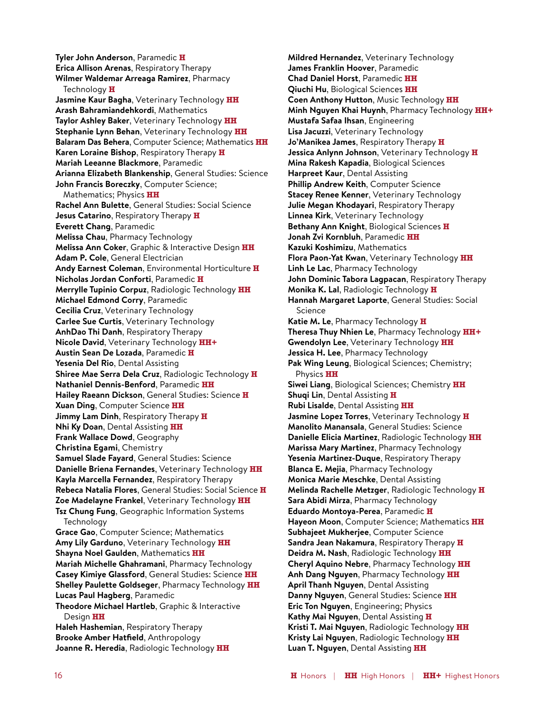**Tyler John Anderson**, Paramedic **H Erica Allison Arenas**, Respiratory Therapy **Wilmer Waldemar Arreaga Ramirez**, Pharmacy Technology **H Jasmine Kaur Bagha**, Veterinary Technology **HH Arash Bahramiandehkordi**, Mathematics **Taylor Ashley Baker**, Veterinary Technology **HH Stephanie Lynn Behan**, Veterinary Technology **HH Balaram Das Behera**, Computer Science; Mathematics **HH Karen Loraine Bishop**, Respiratory Therapy **H Mariah Leeanne Blackmore**, Paramedic **Arianna Elizabeth Blankenship**, General Studies: Science **John Francis Boreczky**, Computer Science; Mathematics; Physics **HH Rachel Ann Bulette**, General Studies: Social Science **Jesus Catarino**, Respiratory Therapy **H Everett Chang**, Paramedic **Melissa Chau**, Pharmacy Technology **Melissa Ann Coker**, Graphic & Interactive Design **HH Adam P. Cole**, General Electrician **Andy Earnest Coleman**, Environmental Horticulture **H Nicholas Jordan Conforti**, Paramedic **H Merrylle Tupinio Corpuz**, Radiologic Technology **HH Michael Edmond Corry**, Paramedic **Cecilia Cruz**, Veterinary Technology **Carlee Sue Curtis**, Veterinary Technology **AnhDao Thi Danh**, Respiratory Therapy **Nicole David**, Veterinary Technology **HH+ Austin Sean De Lozada**, Paramedic **H Yesenia Del Rio**, Dental Assisting **Shiree Mae Serra Dela Cruz**, Radiologic Technology **H Nathaniel Dennis-Benford**, Paramedic **HH Hailey Raeann Dickson**, General Studies: Science **H Xuan Ding**, Computer Science **HH Jimmy Lam Dinh**, Respiratory Therapy **H Nhi Ky Doan**, Dental Assisting **HH Frank Wallace Dowd**, Geography **Christina Egami**, Chemistry **Samuel Slade Fayard**, General Studies: Science **Danielle Briena Fernandes**, Veterinary Technology **HH Kayla Marcella Fernandez**, Respiratory Therapy **Rebeca Natalia Flores**, General Studies: Social Science **H Zoe Madelayne Frankel**, Veterinary Technology **HH Tsz Chung Fung**, Geographic Information Systems **Technology Grace Gao**, Computer Science; Mathematics **Amy Lily Garduno**, Veterinary Technology **HH Shayna Noel Gaulden**, Mathematics **HH Mariah Michelle Ghahramani**, Pharmacy Technology **Casey Kimiye Glassford**, General Studies: Science **HH Shelley Paulette Goldseger**, Pharmacy Technology **HH Lucas Paul Hagberg**, Paramedic **Theodore Michael Hartleb**, Graphic & Interactive Design **HH Haleh Hashemian**, Respiratory Therapy **Brooke Amber Hatfield**, Anthropology **Joanne R. Heredia**, Radiologic Technology **HH**

**Mildred Hernandez**, Veterinary Technology **James Franklin Hoover**, Paramedic **Chad Daniel Horst**, Paramedic **HH Qiuchi Hu**, Biological Sciences **HH Coen Anthony Hutton**, Music Technology **HH Minh Nguyen Khai Huynh**, Pharmacy Technology **HH+ Mustafa Safaa Ihsan**, Engineering **Lisa Jacuzzi**, Veterinary Technology **Jo'Manikea James**, Respiratory Therapy **H Jessica Anlynn Johnson**, Veterinary Technology **H Mina Rakesh Kapadia**, Biological Sciences **Harpreet Kaur**, Dental Assisting **Phillip Andrew Keith**, Computer Science **Stacey Renee Kenner**, Veterinary Technology **Julie Megan Khodayari**, Respiratory Therapy **Linnea Kirk**, Veterinary Technology **Bethany Ann Knight**, Biological Sciences **H Jonah Zvi Kornbluh**, Paramedic **HH Kazuki Koshimizu**, Mathematics **Flora Paon-Yat Kwan**, Veterinary Technology **HH Linh Le Lac**, Pharmacy Technology **John Dominic Tabora Lagpacan**, Respiratory Therapy **Monika K. Lal**, Radiologic Technology **H Hannah Margaret Laporte**, General Studies: Social Science **Katie M. Le**, Pharmacy Technology **H Theresa Thuy Nhien Le**, Pharmacy Technology **HH+ Gwendolyn Lee**, Veterinary Technology **HH Jessica H. Lee**, Pharmacy Technology **Pak Wing Leung**, Biological Sciences; Chemistry; Physics **HH Siwei Liang**, Biological Sciences; Chemistry **HH Shuqi Lin**, Dental Assisting **H Rubi Lisalde**, Dental Assisting **HH Jasmine Lopez Torres**, Veterinary Technology **H Manolito Manansala**, General Studies: Science **Danielle Elicia Martinez**, Radiologic Technology **HH Marissa Mary Martinez**, Pharmacy Technology **Yesenia Martinez-Duque**, Respiratory Therapy **Blanca E. Mejia**, Pharmacy Technology **Monica Marie Meschke**, Dental Assisting **Melinda Rachelle Metzger**, Radiologic Technology **H Sara Abidi Mirza**, Pharmacy Technology **Eduardo Montoya-Perea**, Paramedic **H Hayeon Moon**, Computer Science; Mathematics **HH Subhajeet Mukherjee**, Computer Science **Sandra Jean Nakamura**, Respiratory Therapy **H Deidra M. Nash**, Radiologic Technology **HH Cheryl Aquino Nebre**, Pharmacy Technology **HH Anh Dang Nguyen**, Pharmacy Technology **HH April Thanh Nguyen**, Dental Assisting **Danny Nguyen**, General Studies: Science **HH Eric Ton Nguyen**, Engineering; Physics **Kathy Mai Nguyen**, Dental Assisting **H Kristi T. Mai Nguyen**, Radiologic Technology **HH Kristy Lai Nguyen**, Radiologic Technology **HH Luan T. Nguyen**, Dental Assisting **HH**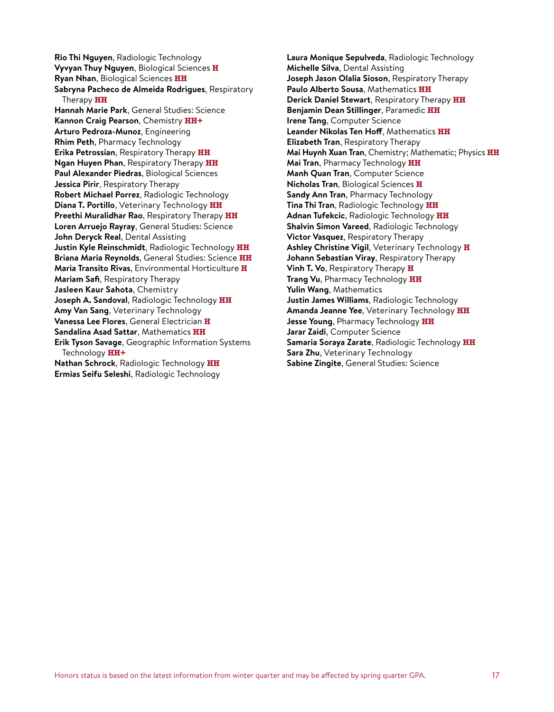**Rio Thi Nguyen**, Radiologic Technology **Vyvyan Thuy Nguyen**, Biological Sciences **H Ryan Nhan**, Biological Sciences **HH Sabryna Pacheco de Almeida Rodrigues**, Respiratory Therapy **HH Hannah Marie Park**, General Studies: Science **Kannon Craig Pearson**, Chemistry **HH+ Arturo Pedroza-Munoz**, Engineering **Rhim Peth**, Pharmacy Technology **Erika Petrossian**, Respiratory Therapy **HH Ngan Huyen Phan**, Respiratory Therapy **HH Paul Alexander Piedras**, Biological Sciences **Jessica Pirir**, Respiratory Therapy **Robert Michael Porrez**, Radiologic Technology **Diana T. Portillo**, Veterinary Technology **HH Preethi Muralidhar Rao**, Respiratory Therapy **HH Loren Arruejo Rayray**, General Studies: Science **John Deryck Real**, Dental Assisting **Justin Kyle Reinschmidt**, Radiologic Technology **HH Briana Maria Reynolds**, General Studies: Science **HH Maria Transito Rivas**, Environmental Horticulture **H Mariam Safi**, Respiratory Therapy **Jasleen Kaur Sahota**, Chemistry **Joseph A. Sandoval**, Radiologic Technology **HH Amy Van Sang**, Veterinary Technology **Vanessa Lee Flores**, General Electrician **H Sandalina Asad Sattar**, Mathematics **HH Erik Tyson Savage**, Geographic Information Systems Technology **HH+ Nathan Schrock**, Radiologic Technology **HH Ermias Seifu Seleshi**, Radiologic Technology

**Laura Monique Sepulveda**, Radiologic Technology **Michelle Silva**, Dental Assisting **Joseph Jason Olalia Sioson**, Respiratory Therapy **Paulo Alberto Sousa**, Mathematics **HH Derick Daniel Stewart**, Respiratory Therapy **HH Benjamin Dean Stillinger**, Paramedic **HH Irene Tang**, Computer Science **Leander Nikolas Ten Hoff**, Mathematics **HH Elizabeth Tran**, Respiratory Therapy **Mai Huynh Xuan Tran**, Chemistry; Mathematic; Physics **HH Mai Tran**, Pharmacy Technology **HH Manh Quan Tran**, Computer Science **Nicholas Tran**, Biological Sciences **H Sandy Ann Tran**, Pharmacy Technology **Tina Thi Tran**, Radiologic Technology **HH Adnan Tufekcic**, Radiologic Technology **HH Shalvin Simon Vareed**, Radiologic Technology **Victor Vasquez**, Respiratory Therapy **Ashley Christine Vigil**, Veterinary Technology **H Johann Sebastian Viray**, Respiratory Therapy **Vinh T. Vo**, Respiratory Therapy **H Trang Vu**, Pharmacy Technology **HH Yulin Wang**, Mathematics **Justin James Williams**, Radiologic Technology **Amanda Jeanne Yee**, Veterinary Technology **HH Jesse Young**, Pharmacy Technology **HH Jarar Zaidi**, Computer Science **Samaria Soraya Zarate**, Radiologic Technology **HH Sara Zhu**, Veterinary Technology **Sabine Zingite**, General Studies: Science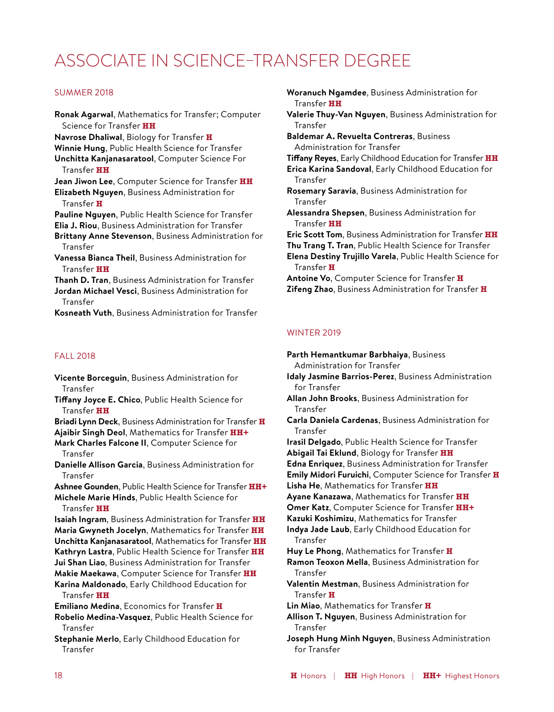## ASSOCIATE IN SCIENCE–TRANSFER DEGREE

#### SUMMER 2018

**Ronak Agarwal**, Mathematics for Transfer; Computer Science for Transfer **HH Navrose Dhaliwal**, Biology for Transfer **H Winnie Hung**, Public Health Science for Transfer **Unchitta Kanjanasaratool**, Computer Science For Transfer **HH Jean Jiwon Lee**, Computer Science for Transfer **HH Elizabeth Nguyen**, Business Administration for Transfer **H Pauline Nguyen**, Public Health Science for Transfer **Elia J. Riou**, Business Administration for Transfer **Brittany Anne Stevenson**, Business Administration for Transfer **Vanessa Bianca Theil**, Business Administration for Transfer **HH Thanh D. Tran**, Business Administration for Transfer **Jordan Michael Vesci**, Business Administration for Transfer **Kosneath Vuth**, Business Administration for Transfer

#### FALL 2018

**Vicente Borceguin**, Business Administration for Transfer

**Tiffany Joyce E. Chico**, Public Health Science for Transfer **HH**

**Briadi Lynn Deck**, Business Administration for Transfer **H Ajaibir Singh Deol**, Mathematics for Transfer **HH+**

**Mark Charles Falcone II**, Computer Science for Transfer

**Danielle Allison Garcia**, Business Administration for Transfer

**Ashnee Gounden**, Public Health Science for Transfer **HH+ Michele Marie Hinds**, Public Health Science for Transfer **HH**

**Isaiah Ingram**, Business Administration for Transfer **HH Maria Gwyneth Jocelyn**, Mathematics for Transfer **HH Unchitta Kanjanasaratool**, Mathematics for Transfer **HH Kathryn Lastra**, Public Health Science for Transfer **HH Jui Shan Liao**, Business Administration for Transfer **Makie Maekawa**, Computer Science for Transfer **HH Karina Maldonado**, Early Childhood Education for

Transfer **HH**

**Emiliano Medina**, Economics for Transfer **H**

**Robelio Medina-Vasquez**, Public Health Science for Transfer

**Stephanie Merlo**, Early Childhood Education for Transfer

**Woranuch Ngamdee**, Business Administration for Transfer **HH Valerie Thuy-Van Nguyen**, Business Administration for Transfer **Baldemar A. Revuelta Contreras**, Business Administration for Transfer

**Tiffany Reyes**, Early Childhood Education for Transfer **HH**

**Erica Karina Sandoval**, Early Childhood Education for Transfer **Rosemary Saravia**, Business Administration for

Transfer

- **Alessandra Shepsen**, Business Administration for Transfer **HH**
- **Eric Scott Tom**, Business Administration for Transfer **HH**

**Thu Trang T. Tran**, Public Health Science for Transfer

**Elena Destiny Trujillo Varela**, Public Health Science for Transfer **H**

**Antoine Vo**, Computer Science for Transfer **H Zifeng Zhao**, Business Administration for Transfer **H**

#### WINTER 2019

**Parth Hemantkumar Barbhaiya**, Business Administration for Transfer **Idaly Jasmine Barrios-Perez**, Business Administration for Transfer **Allan John Brooks**, Business Administration for Transfer **Carla Daniela Cardenas**, Business Administration for Transfer **Irasil Delgado**, Public Health Science for Transfer **Abigail Tai Eklund**, Biology for Transfer **HH Edna Enriquez**, Business Administration for Transfer **Emily Midori Furuichi**, Computer Science for Transfer **H Lisha He**, Mathematics for Transfer **HH Ayane Kanazawa**, Mathematics for Transfer **HH Omer Katz**, Computer Science for Transfer **HH+ Kazuki Koshimizu**, Mathematics for Transfer **Indya Jade Laub**, Early Childhood Education for Transfer **Huy Le Phong**, Mathematics for Transfer **H Ramon Teoxon Mella**, Business Administration for Transfer **Valentin Mestman**, Business Administration for Transfer **H Lin Miao**, Mathematics for Transfer **H Allison T. Nguyen**, Business Administration for Transfer **Joseph Hung Minh Nguyen**, Business Administration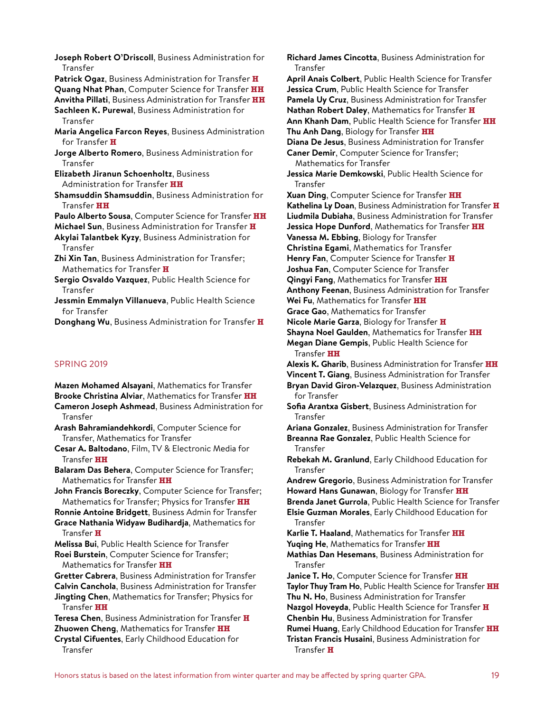**Joseph Robert O'Driscoll**, Business Administration for **Transfer** 

**Patrick Ogaz**, Business Administration for Transfer **H Quang Nhat Phan**, Computer Science for Transfer **HH**

**Anvitha Pillati**, Business Administration for Transfer **HH Sachleen K. Purewal**, Business Administration for **Transfer** 

**Maria Angelica Farcon Reyes**, Business Administration for Transfer **H**

**Jorge Alberto Romero**, Business Administration for **Transfer** 

**Elizabeth Jiranun Schoenholtz**, Business Administration for Transfer **HH**

**Shamsuddin Shamsuddin**, Business Administration for Transfer **HH**

**Paulo Alberto Sousa**, Computer Science for Transfer **HH**

**Michael Sun**, Business Administration for Transfer **H Akylai Talantbek Kyzy**, Business Administration for Transfer

**Zhi Xin Tan**, Business Administration for Transfer; Mathematics for Transfer **H**

**Sergio Osvaldo Vazquez**, Public Health Science for Transfer

**Jessmin Emmalyn Villanueva**, Public Health Science for Transfer

**Donghang Wu**, Business Administration for Transfer **H**

#### SPRING 2019

**Mazen Mohamed Alsayani**, Mathematics for Transfer **Brooke Christina Alviar**, Mathematics for Transfer **HH Cameron Joseph Ashmead**, Business Administration for

Transfer

**Arash Bahramiandehkordi**, Computer Science for Transfer, Mathematics for Transfer

**Cesar A. Baltodano**, Film, TV & Electronic Media for Transfer **HH**

**Balaram Das Behera**, Computer Science for Transfer; Mathematics for Transfer **HH**

**John Francis Boreczky**, Computer Science for Transfer; Mathematics for Transfer; Physics for Transfer **HH**

**Ronnie Antoine Bridgett**, Business Admin for Transfer **Grace Nathania Widyaw Budihardja**, Mathematics for

Transfer **H Melissa Bui**, Public Health Science for Transfer

**Roei Burstein**, Computer Science for Transfer; Mathematics for Transfer **HH**

**Gretter Cabrera**, Business Administration for Transfer **Calvin Canchola**, Business Administration for Transfer

**Jingting Chen**, Mathematics for Transfer; Physics for Transfer **HH**

**Teresa Chen**, Business Administration for Transfer **H Zhuowen Cheng**, Mathematics for Transfer **HH**

**Crystal Cifuentes**, Early Childhood Education for Transfer

**Richard James Cincotta**, Business Administration for Transfer **April Anais Colbert**, Public Health Science for Transfer **Jessica Crum**, Public Health Science for Transfer **Pamela Uy Cruz**, Business Administration for Transfer **Nathan Robert Daley**, Mathematics for Transfer **H Ann Khanh Dam**, Public Health Science for Transfer **HH Thu Anh Dang**, Biology for Transfer **HH Diana De Jesus**, Business Administration for Transfer **Caner Demir**, Computer Science for Transfer; Mathematics for Transfer **Jessica Marie Demkowski**, Public Health Science for Transfer **Xuan Ding**, Computer Science for Transfer **HH Kathelina Ly Doan**, Business Administration for Transfer **H Liudmila Dubiaha**, Business Administration for Transfer **Jessica Hope Dunford**, Mathematics for Transfer **HH Vanessa M. Ebbing**, Biology for Transfer **Christina Egami**, Mathematics for Transfer **Henry Fan**, Computer Science for Transfer **H Joshua Fan**, Computer Science for Transfer **Qingyi Fang**, Mathematics for Transfer **HH Anthony Feenan**, Business Administration for Transfer **Wei Fu**, Mathematics for Transfer **HH Grace Gao**, Mathematics for Transfer **Nicole Marie Garza**, Biology for Transfer **H Shayna Noel Gaulden**, Mathematics for Transfer **HH Megan Diane Gempis**, Public Health Science for Transfer **HH Alexis K. Gharib**, Business Administration for Transfer **HH Vincent T. Giang**, Business Administration for Transfer **Bryan David Giron-Velazquez**, Business Administration for Transfer **Sofia Arantxa Gisbert**, Business Administration for Transfer **Ariana Gonzalez**, Business Administration for Transfer **Breanna Rae Gonzalez**, Public Health Science for Transfer **Rebekah M. Granlund**, Early Childhood Education for Transfer **Andrew Gregorio**, Business Administration for Transfer **Howard Hans Gunawan**, Biology for Transfer **HH Brenda Janet Gurrola**, Public Health Science for Transfer **Elsie Guzman Morales**, Early Childhood Education for Transfer **Karlie T. Haaland**, Mathematics for Transfer **HH Yuqing He**, Mathematics for Transfer **HH Mathias Dan Hesemans**, Business Administration for Transfer **Janice T. Ho**, Computer Science for Transfer **HH Taylor Thuy Tram Ho**, Public Health Science for Transfer **HH Thu N. Ho**, Business Administration for Transfer **Nazgol Hoveyda**, Public Health Science for Transfer **H**

**Rumei Huang**, Early Childhood Education for Transfer **HH Tristan Francis Husaini**, Business Administration for Transfer **H**

**Chenbin Hu**, Business Administration for Transfer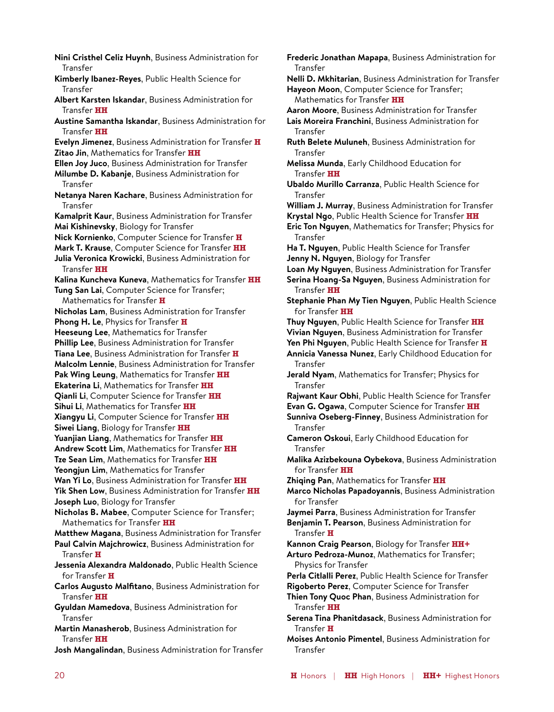**Nini Cristhel Celiz Huynh**, Business Administration for Transfer **Kimberly Ibanez-Reyes**, Public Health Science for Transfer **Albert Karsten Iskandar**, Business Administration for Transfer **HH Austine Samantha Iskandar**, Business Administration for Transfer **HH Evelyn Jimenez**, Business Administration for Transfer **H Zitao Jin**, Mathematics for Transfer **HH Ellen Joy Juco**, Business Administration for Transfer **Milumbe D. Kabanje**, Business Administration for Transfer **Netanya Naren Kachare**, Business Administration for Transfer **Kamalprit Kaur**, Business Administration for Transfer **Mai Kishinevsky**, Biology for Transfer **Nick Kornienko**, Computer Science for Transfer **H Mark T. Krause**, Computer Science for Transfer **HH Julia Veronica Krowicki**, Business Administration for Transfer **HH Kalina Kuncheva Kuneva**, Mathematics for Transfer **HH Tung San Lai**, Computer Science for Transfer; Mathematics for Transfer **H Nicholas Lam**, Business Administration for Transfer **Phong H. Le**, Physics for Transfer **H Heeseung Lee**, Mathematics for Transfer **Phillip Lee**, Business Administration for Transfer **Tiana Lee**, Business Administration for Transfer **H Malcolm Lennie**, Business Administration for Transfer **Pak Wing Leung**, Mathematics for Transfer **HH Ekaterina Li**, Mathematics for Transfer **HH Qianli Li**, Computer Science for Transfer **HH Sihui Li**, Mathematics for Transfer **HH Xiangyu Li**, Computer Science for Transfer **HH Siwei Liang**, Biology for Transfer **HH Yuanjian Liang**, Mathematics for Transfer **HH Andrew Scott Lim**, Mathematics for Transfer **HH Tze Sean Lim**, Mathematics for Transfer **HH Yeongjun Lim**, Mathematics for Transfer **Wan Yi Lo**, Business Administration for Transfer **HH Yik Shen Low**, Business Administration for Transfer **HH Joseph Luo**, Biology for Transfer **Nicholas B. Mabee**, Computer Science for Transfer; Mathematics for Transfer **HH Matthew Magana**, Business Administration for Transfer **Paul Calvin Majchrowicz**, Business Administration for Transfer **H Jessenia Alexandra Maldonado**, Public Health Science for Transfer **H Carlos Augusto Malfitano**, Business Administration for Transfer **HH Gyuldan Mamedova**, Business Administration for Transfer **Martin Manasherob**, Business Administration for Transfer **HH Josh Mangalindan**, Business Administration for Transfer

**Frederic Jonathan Mapapa**, Business Administration for Transfer **Nelli D. Mkhitarian**, Business Administration for Transfer **Hayeon Moon**, Computer Science for Transfer; Mathematics for Transfer **HH Aaron Moore**, Business Administration for Transfer **Lais Moreira Franchini**, Business Administration for Transfer **Ruth Belete Muluneh**, Business Administration for Transfer **Melissa Munda**, Early Childhood Education for Transfer **HH Ubaldo Murillo Carranza**, Public Health Science for Transfer **William J. Murray**, Business Administration for Transfer **Krystal Ngo**, Public Health Science for Transfer **HH Eric Ton Nguyen**, Mathematics for Transfer; Physics for Transfer **Ha T. Nguyen**, Public Health Science for Transfer **Jenny N. Nguyen**, Biology for Transfer **Loan My Nguyen**, Business Administration for Transfer **Serina Hoang-Sa Nguyen**, Business Administration for Transfer **HH Stephanie Phan My Tien Nguyen**, Public Health Science for Transfer **HH Thuy Nguyen**, Public Health Science for Transfer **HH Vivian Nguyen**, Business Administration for Transfer **Yen Phi Nguyen**, Public Health Science for Transfer **H Annicia Vanessa Nunez**, Early Childhood Education for Transfer **Jerald Nyam**, Mathematics for Transfer; Physics for Transfer **Rajwant Kaur Obhi**, Public Health Science for Transfer **Evan G. Ogawa**, Computer Science for Transfer **HH Sunniva Oseberg-Finney**, Business Administration for Transfer **Cameron Oskoui**, Early Childhood Education for Transfer **Malika Azizbekouna Oybekova**, Business Administration for Transfer **HH Zhiqing Pan**, Mathematics for Transfer **HH Marco Nicholas Papadoyannis**, Business Administration for Transfer **Jaymei Parra**, Business Administration for Transfer **Benjamin T. Pearson**, Business Administration for Transfer **H Kannon Craig Pearson**, Biology for Transfer **HH+ Arturo Pedroza-Munoz**, Mathematics for Transfer; Physics for Transfer **Perla Citlalli Perez**, Public Health Science for Transfer **Rigoberto Perez**, Computer Science for Transfer **Thien Tony Quoc Phan**, Business Administration for Transfer **HH Serena Tina Phanitdasack**, Business Administration for Transfer **H**

**Moises Antonio Pimentel**, Business Administration for Transfer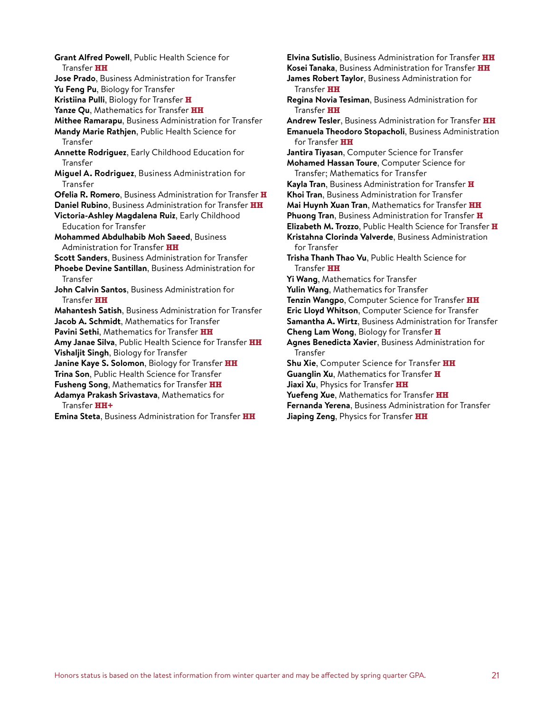**Grant Alfred Powell**, Public Health Science for Transfer **HH Jose Prado**, Business Administration for Transfer **Yu Feng Pu**, Biology for Transfer **Kristiina Pulli**, Biology for Transfer **H Yanze Qu**, Mathematics for Transfer **HH Mithee Ramarapu**, Business Administration for Transfer **Mandy Marie Rathjen**, Public Health Science for Transfer **Annette Rodriguez**, Early Childhood Education for Transfer **Miguel A. Rodriguez**, Business Administration for Transfer **Ofelia R. Romero**, Business Administration for Transfer **H Daniel Rubino**, Business Administration for Transfer **HH Victoria-Ashley Magdalena Ruiz**, Early Childhood Education for Transfer **Mohammed Abdulhabib Moh Saeed**, Business Administration for Transfer **HH Scott Sanders**, Business Administration for Transfer **Phoebe Devine Santillan**, Business Administration for **Transfer John Calvin Santos**, Business Administration for Transfer **HH Mahantesh Satish**, Business Administration for Transfer **Jacob A. Schmidt**, Mathematics for Transfer **Pavini Sethi**, Mathematics for Transfer **HH Amy Janae Silva**, Public Health Science for Transfer **HH Vishaljit Singh**, Biology for Transfer **Janine Kaye S. Solomon**, Biology for Transfer **HH Trina Son**, Public Health Science for Transfer **Fusheng Song**, Mathematics for Transfer **HH Adamya Prakash Srivastava**, Mathematics for Transfer **HH+ Emina Steta**, Business Administration for Transfer **HH**

**Elvina Sutislio**, Business Administration for Transfer **HH Kosei Tanaka**, Business Administration for Transfer **HH James Robert Taylor**, Business Administration for Transfer **HH Regina Novia Tesiman**, Business Administration for Transfer **HH Andrew Tesler**, Business Administration for Transfer **HH Emanuela Theodoro Stopacholi**, Business Administration for Transfer **HH Jantira Tiyasan**, Computer Science for Transfer **Mohamed Hassan Toure**, Computer Science for Transfer; Mathematics for Transfer **Kayla Tran**, Business Administration for Transfer **H Khoi Tran**, Business Administration for Transfer **Mai Huynh Xuan Tran**, Mathematics for Transfer **HH Phuong Tran**, Business Administration for Transfer **H Elizabeth M. Trozzo**, Public Health Science for Transfer **H Kristahna Clorinda Valverde**, Business Administration for Transfer **Trisha Thanh Thao Vu**, Public Health Science for Transfer **HH Yi Wang**, Mathematics for Transfer **Yulin Wang**, Mathematics for Transfer **Tenzin Wangpo**, Computer Science for Transfer **HH Eric Lloyd Whitson**, Computer Science for Transfer **Samantha A. Wirtz**, Business Administration for Transfer **Cheng Lam Wong**, Biology for Transfer **H Agnes Benedicta Xavier**, Business Administration for Transfer **Shu Xie**, Computer Science for Transfer **HH Guanglin Xu**, Mathematics for Transfer **H Jiaxi Xu**, Physics for Transfer **HH Yuefeng Xue**, Mathematics for Transfer **HH Fernanda Yerena**, Business Administration for Transfer **Jiaping Zeng**, Physics for Transfer **HH**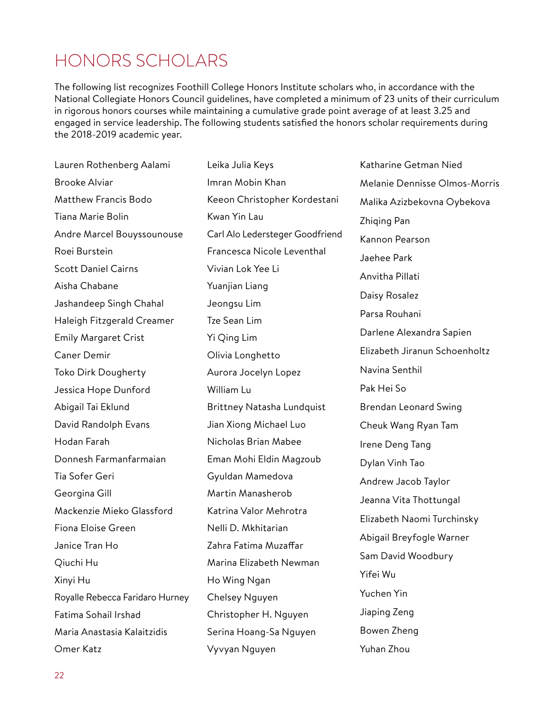### HONORS SCHOLARS

The following list recognizes Foothill College Honors Institute scholars who, in accordance with the National Collegiate Honors Council guidelines, have completed a minimum of 23 units of their curriculum in rigorous honors courses while maintaining a cumulative grade point average of at least 3.25 and engaged in service leadership. The following students satisfied the honors scholar requirements during the 2018-2019 academic year.

Leika Julia Keys

Lauren Rothenberg Aalami Brooke Alviar Matthew Francis Bodo Tiana Marie Bolin Andre Marcel Bouyssounouse Roei Burstein Scott Daniel Cairns Aisha Chabane Jashandeep Singh Chahal Haleigh Fitzgerald Creamer Emily Margaret Crist Caner Demir Toko Dirk Dougherty Jessica Hope Dunford Abigail Tai Eklund David Randolph Evans Hodan Farah Donnesh Farmanfarmaian Tia Sofer Geri Georgina Gill Mackenzie Mieko Glassford Fiona Eloise Green Janice Tran Ho Qiuchi Hu Xinyi Hu Royalle Rebecca Faridaro Hurney Fatima Sohail Irshad Maria Anastasia Kalaitzidis Omer Katz

Imran Mobin Khan Keeon Christopher Kordestani Kwan Yin Lau Carl Alo Ledersteger Goodfriend Francesca Nicole Leventhal Vivian Lok Yee Li Yuanjian Liang Jeongsu Lim Tze Sean Lim Yi Qing Lim Olivia Longhetto Aurora Jocelyn Lopez William Lu Brittney Natasha Lundquist Jian Xiong Michael Luo Nicholas Brian Mabee Eman Mohi Eldin Magzoub Gyuldan Mamedova Martin Manasherob Katrina Valor Mehrotra Nelli D. Mkhitarian Zahra Fatima Muzaffar Marina Elizabeth Newman Ho Wing Ngan Chelsey Nguyen Christopher H. Nguyen Serina Hoang-Sa Nguyen Vyvyan Nguyen

Katharine Getman Nied Melanie Dennisse Olmos-Morris Malika Azizbekovna Oybekova Zhiging Pan Kannon Pearson Jaehee Park Anvitha Pillati Daisy Rosalez Parsa Rouhani Darlene Alexandra Sapien Elizabeth Jiranun Schoenholtz Navina Senthil Pak Hei So Brendan Leonard Swing Cheuk Wang Ryan Tam Irene Deng Tang Dylan Vinh Tao Andrew Jacob Taylor Jeanna Vita Thottungal Elizabeth Naomi Turchinsky Abigail Breyfogle Warner Sam David Woodbury Yifei Wu Yuchen Yin Jiaping Zeng Bowen Zheng Yuhan Zhou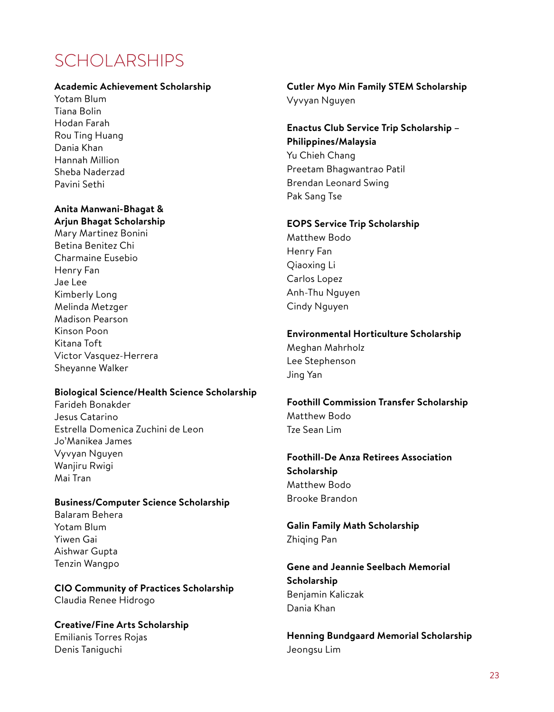## SCHOLARSHIPS

#### **Academic Achievement Scholarship**

Yotam Blum Tiana Bolin Hodan Farah Rou Ting Huang Dania Khan Hannah Million Sheba Naderzad Pavini Sethi

#### **Anita Manwani-Bhagat & Arjun Bhagat Scholarship**

Mary Martinez Bonini Betina Benitez Chi Charmaine Eusebio Henry Fan Jae Lee Kimberly Long Melinda Metzger Madison Pearson Kinson Poon Kitana Toft Victor Vasquez-Herrera Sheyanne Walker

#### **Biological Science/Health Science Scholarship**

Farideh Bonakder Jesus Catarino Estrella Domenica Zuchini de Leon Jo'Manikea James Vyvyan Nguyen Wanjiru Rwigi Mai Tran

#### **Business/Computer Science Scholarship**

Balaram Behera Yotam Blum Yiwen Gai Aishwar Gupta Tenzin Wangpo

**CIO Community of Practices Scholarship** Claudia Renee Hidrogo

**Creative/Fine Arts Scholarship** Emilianis Torres Rojas Denis Taniguchi

#### **Cutler Myo Min Family STEM Scholarship** Vyvyan Nguyen

**Enactus Club Service Trip Scholarship – Philippines/Malaysia** Yu Chieh Chang Preetam Bhagwantrao Patil Brendan Leonard Swing Pak Sang Tse

#### **EOPS Service Trip Scholarship**

Matthew Bodo Henry Fan Qiaoxing Li Carlos Lopez Anh-Thu Nguyen Cindy Nguyen

#### **Environmental Horticulture Scholarship**

Meghan Mahrholz Lee Stephenson Jing Yan

**Foothill Commission Transfer Scholarship** Matthew Bodo Tze Sean Lim

**Foothill-De Anza Retirees Association Scholarship** Matthew Bodo Brooke Brandon

**Galin Family Math Scholarship** Zhiqing Pan

**Gene and Jeannie Seelbach Memorial Scholarship** Benjamin Kaliczak Dania Khan

**Henning Bundgaard Memorial Scholarship** Jeongsu Lim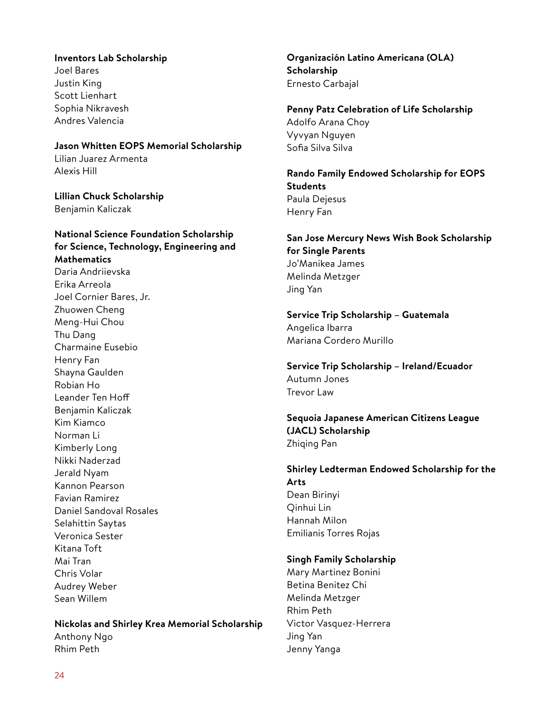#### **Inventors Lab Scholarship**

Joel Bares Justin King Scott Lienhart Sophia Nikravesh Andres Valencia

#### **Jason Whitten EOPS Memorial Scholarship**

Lilian Juarez Armenta Alexis Hill

**Lillian Chuck Scholarship** Benjamin Kaliczak

#### **National Science Foundation Scholarship for Science, Technology, Engineering and Mathematics** Daria Andriievska Erika Arreola Joel Cornier Bares, Jr. Zhuowen Cheng Meng-Hui Chou Thu Dang Charmaine Eusebio Henry Fan Shayna Gaulden Robian Ho Leander Ten Hoff Benjamin Kaliczak Kim Kiamco Norman Li Kimberly Long Nikki Naderzad Jerald Nyam Kannon Pearson Favian Ramirez Daniel Sandoval Rosales Selahittin Saytas Veronica Sester Kitana Toft Mai Tran Chris Volar Audrey Weber Sean Willem

#### **Nickolas and Shirley Krea Memorial Scholarship** Anthony Ngo Rhim Peth

**Organización Latino Americana (OLA) Scholarship** Ernesto Carbajal

**Penny Patz Celebration of Life Scholarship** Adolfo Arana Choy Vyvyan Nguyen Sofia Silva Silva

**Rando Family Endowed Scholarship for EOPS Students** Paula Dejesus Henry Fan

**San Jose Mercury News Wish Book Scholarship for Single Parents** Jo'Manikea James Melinda Metzger Jing Yan

**Service Trip Scholarship – Guatemala** Angelica Ibarra Mariana Cordero Murillo

**Service Trip Scholarship – Ireland/Ecuador** Autumn Jones Trevor Law

**Sequoia Japanese American Citizens League (JACL) Scholarship** Zhiqing Pan

**Shirley Ledterman Endowed Scholarship for the Arts** Dean Birinyi Qinhui Lin Hannah Milon

Emilianis Torres Rojas

#### **Singh Family Scholarship**

Mary Martinez Bonini Betina Benitez Chi Melinda Metzger Rhim Peth Victor Vasquez-Herrera Jing Yan Jenny Yanga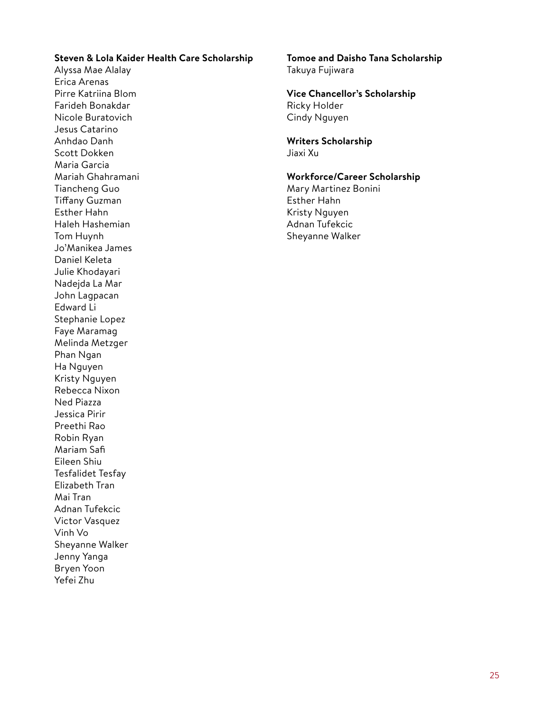#### **Steven & Lola Kaider Health Care Scholarship**

Alyssa Mae Alalay Erica Arenas Pirre Katriina Blom Farideh Bonakdar Nicole Buratovich Jesus Catarino Anhdao Danh Scott Dokken Maria Garcia Mariah Ghahramani Tiancheng Guo Tiffany Guzman Esther Hahn Haleh Hashemian Tom Huynh Jo'Manikea James Daniel Keleta Julie Khodayari Nadejda La Mar John Lagpacan Edward Li Stephanie Lopez Faye Maramag Melinda Metzger Phan Ngan Ha Nguyen Kristy Nguyen Rebecca Nixon Ned Piazza Jessica Pirir Preethi Rao Robin Ryan Mariam Safi Eileen Shiu Tesfalidet Tesfay Elizabeth Tran Mai Tran Adnan Tufekcic Victor Vasquez Vinh Vo Sheyanne Walker Jenny Yanga Bryen Yoon Yefei Zhu

#### **Tomoe and Daisho Tana Scholarship** Takuya Fujiwara

#### **Vice Chancellor's Scholarship** Ricky Holder

Cindy Nguyen

### **Writers Scholarship**

Jiaxi Xu

#### **Workforce/Career Scholarship**

Mary Martinez Bonini Esther Hahn Kristy Nguyen Adnan Tufekcic Sheyanne Walker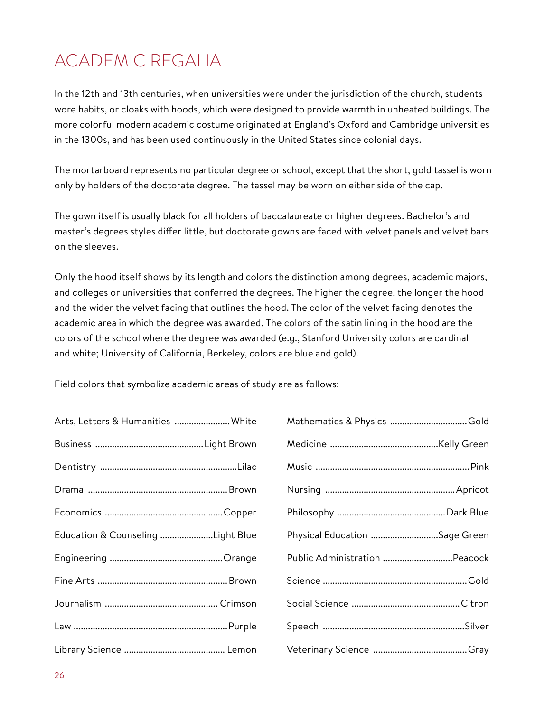## ACADEMIC REGALIA

In the 12th and 13th centuries, when universities were under the jurisdiction of the church, students wore habits, or cloaks with hoods, which were designed to provide warmth in unheated buildings. The more colorful modern academic costume originated at England's Oxford and Cambridge universities in the 1300s, and has been used continuously in the United States since colonial days.

The mortarboard represents no particular degree or school, except that the short, gold tassel is worn only by holders of the doctorate degree. The tassel may be worn on either side of the cap.

The gown itself is usually black for all holders of baccalaureate or higher degrees. Bachelor's and master's degrees styles differ little, but doctorate gowns are faced with velvet panels and velvet bars on the sleeves.

Only the hood itself shows by its length and colors the distinction among degrees, academic majors, and colleges or universities that conferred the degrees. The higher the degree, the longer the hood and the wider the velvet facing that outlines the hood. The color of the velvet facing denotes the academic area in which the degree was awarded. The colors of the satin lining in the hood are the colors of the school where the degree was awarded (e.g., Stanford University colors are cardinal and white; University of California, Berkeley, colors are blue and gold).

Field colors that symbolize academic areas of study are as follows:

| Arts, Letters & Humanities  White | Mathematics & Physics Gold    |
|-----------------------------------|-------------------------------|
|                                   |                               |
|                                   |                               |
|                                   |                               |
|                                   |                               |
| Education & Counseling Light Blue | Physical Education Sage Green |
|                                   | Public Administration Peacock |
|                                   |                               |
|                                   |                               |
|                                   |                               |
|                                   |                               |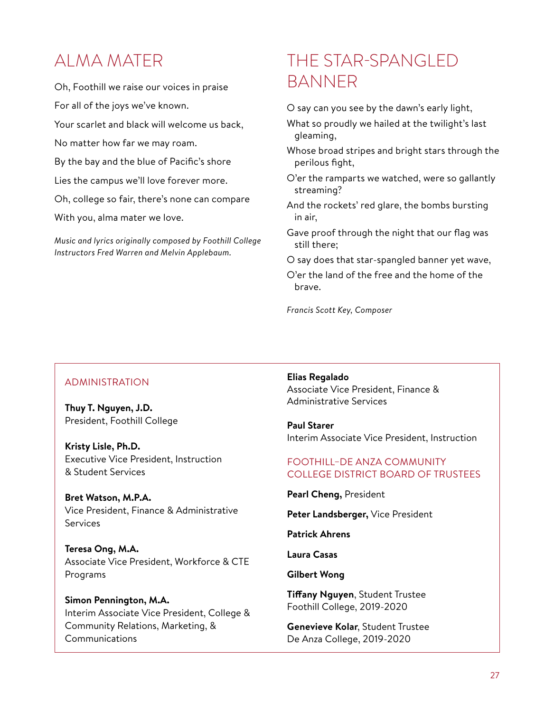### ALMA MATER

Oh, Foothill we raise our voices in praise For all of the joys we've known. Your scarlet and black will welcome us back, No matter how far we may roam. By the bay and the blue of Pacific's shore Lies the campus we'll love forever more. Oh, college so fair, there's none can compare With you, alma mater we love.

*Music and lyrics originally composed by Foothill College Instructors Fred Warren and Melvin Applebaum.*

### THE STAR-SPANGLED BANNER

O say can you see by the dawn's early light,

- What so proudly we hailed at the twilight's last gleaming,
- Whose broad stripes and bright stars through the perilous fight,
- O'er the ramparts we watched, were so gallantly streaming?
- And the rockets' red glare, the bombs bursting in air,
- Gave proof through the night that our flag was still there;
- O say does that star-spangled banner yet wave,
- O'er the land of the free and the home of the brave.

*Francis Scott Key, Composer*

#### ADMINISTRATION

**Thuy T. Nguyen, J.D.** President, Foothill College

**Kristy Lisle, Ph.D.** Executive Vice President, Instruction & Student Services

**Bret Watson, M.P.A.** Vice President, Finance & Administrative Services

**Teresa Ong, M.A.** Associate Vice President, Workforce & CTE Programs

**Simon Pennington, M.A.** Interim Associate Vice President, College & Community Relations, Marketing, & Communications

**Elias Regalado** Associate Vice President, Finance & Administrative Services

**Paul Starer** Interim Associate Vice President, Instruction

#### FOOTHILL–DE ANZA COMMUNITY COLLEGE DISTRICT BOARD OF TRUSTEES

**Pearl Cheng,** President

**Peter Landsberger,** Vice President

**Patrick Ahrens** 

**Laura Casas**

**Gilbert Wong**

**Tiffany Nguyen**, Student Trustee Foothill College, 2019-2020

**Genevieve Kolar**, Student Trustee De Anza College, 2019-2020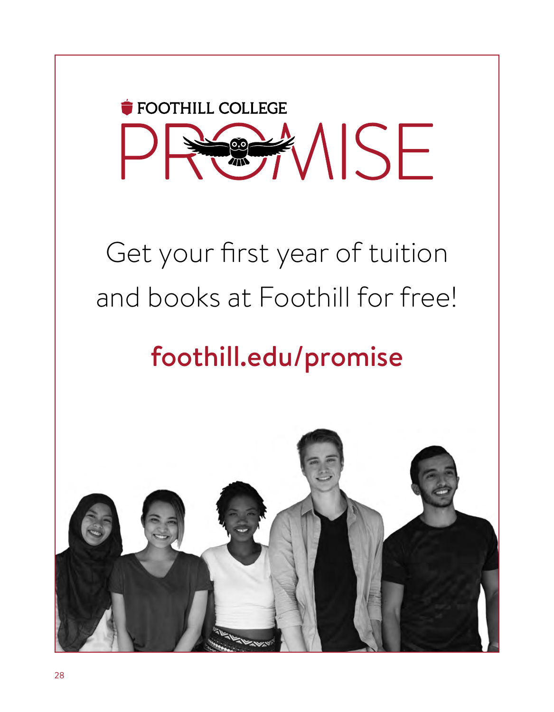

# Get your first year of tuition and books at Foothill for free!

# foothill.edu/promise

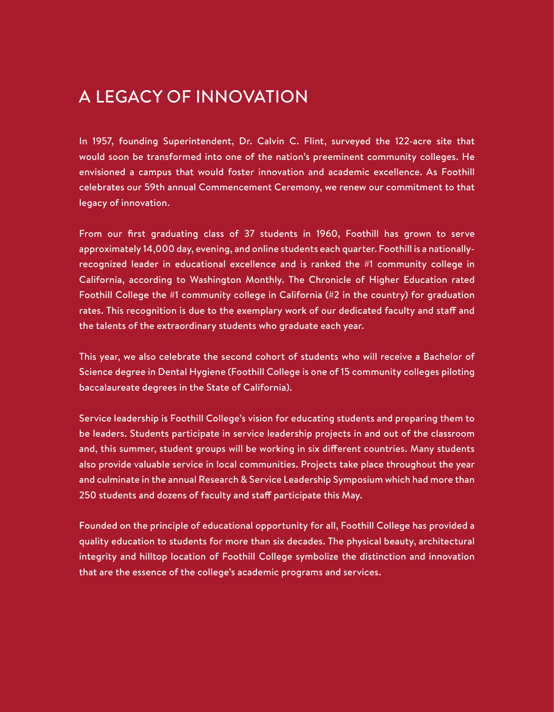### A LEGACY OF INNOVATION

In 1957, founding Superintendent, Dr. Calvin C. Flint, surveyed the 122-acre site that would soon be transformed into one of the nation's preeminent community colleges. He envisioned a campus that would foster innovation and academic excellence. As Foothill celebrates our 59th annual Commencement Ceremony, we renew our commitment to that legacy of innovation.

From our first graduating class of 37 students in 1960, Foothill has grown to serve approximately 14,000 day, evening, and online students each quarter. Foothill is a nationallyrecognized leader in educational excellence and is ranked the #1 community college in California, according to Washington Monthly. The Chronicle of Higher Education rated Foothill College the #1 community college in California (#2 in the country) for graduation rates. This recognition is due to the exemplary work of our dedicated faculty and staff and the talents of the extraordinary students who graduate each year.

This year, we also celebrate the second cohort of students who will receive a Bachelor of Science degree in Dental Hygiene (Foothill College is one of 15 community colleges piloting baccalaureate degrees in the State of California).

Service leadership is Foothill College's vision for educating students and preparing them to be leaders. Students participate in service leadership projects in and out of the classroom and, this summer, student groups will be working in six different countries. Many students also provide valuable service in local communities. Projects take place throughout the year and culminate in the annual Research & Service Leadership Symposium which had more than 250 students and dozens of faculty and staff participate this May.

Founded on the principle of educational opportunity for all, Foothill College has provided a quality education to students for more than six decades. The physical beauty, architectural integrity and hilltop location of Foothill College symbolize the distinction and innovation that are the essence of the college's academic programs and services.